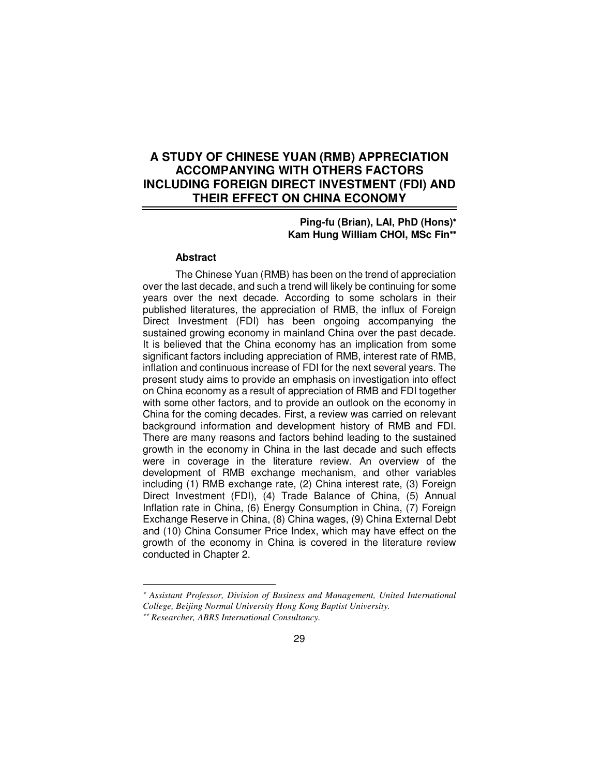# **A STUDY OF CHINESE YUAN (RMB) APPRECIATION ACCOMPANYING WITH OTHERS FACTORS INCLUDING FOREIGN DIRECT INVESTMENT (FDI) AND THEIR EFFECT ON CHINA ECONOMY**

### **Ping-fu (Brian), LAI, PhD (Hons)**<sup>∗</sup> **Kam Hung William CHOI, MSc Fin**∗∗

#### **Abstract**

The Chinese Yuan (RMB) has been on the trend of appreciation over the last decade, and such a trend will likely be continuing for some years over the next decade. According to some scholars in their published literatures, the appreciation of RMB, the influx of Foreign Direct Investment (FDI) has been ongoing accompanying the sustained growing economy in mainland China over the past decade. It is believed that the China economy has an implication from some significant factors including appreciation of RMB, interest rate of RMB, inflation and continuous increase of FDI for the next several years. The present study aims to provide an emphasis on investigation into effect on China economy as a result of appreciation of RMB and FDI together with some other factors, and to provide an outlook on the economy in China for the coming decades. First, a review was carried on relevant background information and development history of RMB and FDI. There are many reasons and factors behind leading to the sustained growth in the economy in China in the last decade and such effects were in coverage in the literature review. An overview of the development of RMB exchange mechanism, and other variables including (1) RMB exchange rate, (2) China interest rate, (3) Foreign Direct Investment (FDI), (4) Trade Balance of China, (5) Annual Inflation rate in China, (6) Energy Consumption in China, (7) Foreign Exchange Reserve in China, (8) China wages, (9) China External Debt and (10) China Consumer Price Index, which may have effect on the growth of the economy in China is covered in the literature review conducted in Chapter 2.

<u>.</u>

<sup>∗</sup> *Assistant Professor, Division of Business and Management, United International* 

*College, Beijing Normal University Hong Kong Baptist University.*

<sup>∗∗</sup>  *Researcher, ABRS International Consultancy.*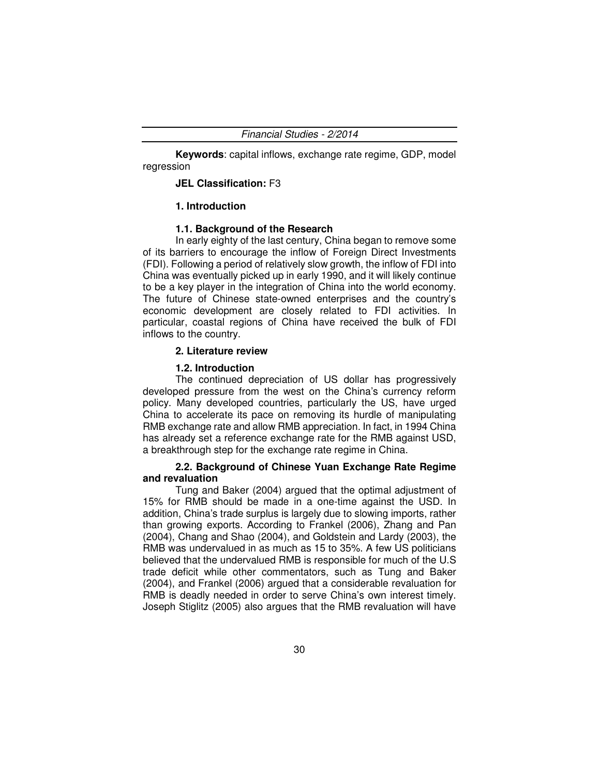**Keywords**: capital inflows, exchange rate regime, GDP, model regression

#### **JEL Classification:** F3

### **1. Introduction**

### **1.1. Background of the Research**

In early eighty of the last century, China began to remove some of its barriers to encourage the inflow of Foreign Direct Investments (FDI). Following a period of relatively slow growth, the inflow of FDI into China was eventually picked up in early 1990, and it will likely continue to be a key player in the integration of China into the world economy. The future of Chinese state-owned enterprises and the country's economic development are closely related to FDI activities. In particular, coastal regions of China have received the bulk of FDI inflows to the country.

#### **2. Literature review**

#### **1.2. Introduction**

The continued depreciation of US dollar has progressively developed pressure from the west on the China's currency reform policy. Many developed countries, particularly the US, have urged China to accelerate its pace on removing its hurdle of manipulating RMB exchange rate and allow RMB appreciation. In fact, in 1994 China has already set a reference exchange rate for the RMB against USD, a breakthrough step for the exchange rate regime in China.

### **2.2. Background of Chinese Yuan Exchange Rate Regime and revaluation**

Tung and Baker (2004) argued that the optimal adjustment of 15% for RMB should be made in a one-time against the USD. In addition, China's trade surplus is largely due to slowing imports, rather than growing exports. According to Frankel (2006), Zhang and Pan (2004), Chang and Shao (2004), and Goldstein and Lardy (2003), the RMB was undervalued in as much as 15 to 35%. A few US politicians believed that the undervalued RMB is responsible for much of the U.S trade deficit while other commentators, such as Tung and Baker (2004), and Frankel (2006) argued that a considerable revaluation for RMB is deadly needed in order to serve China's own interest timely. Joseph Stiglitz (2005) also argues that the RMB revaluation will have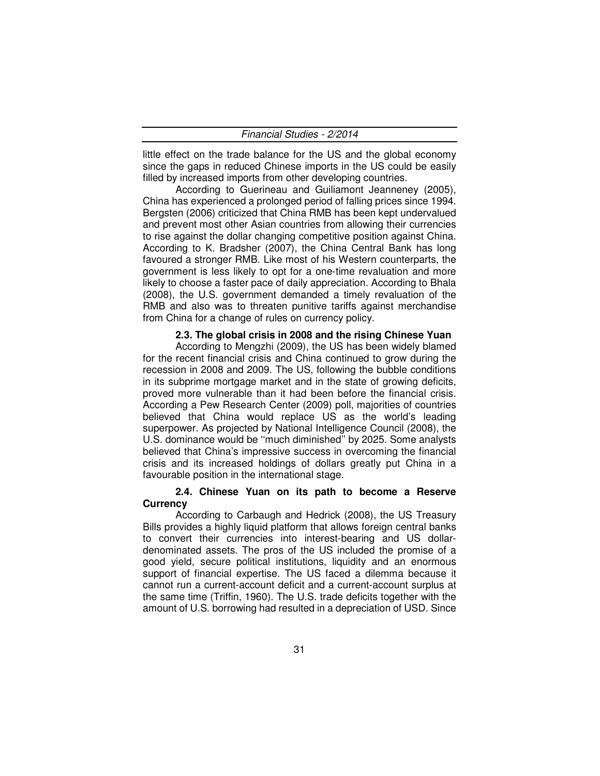little effect on the trade balance for the US and the global economy since the gaps in reduced Chinese imports in the US could be easily filled by increased imports from other developing countries.

According to Guerineau and Guiliamont Jeanneney (2005), China has experienced a prolonged period of falling prices since 1994. Bergsten (2006) criticized that China RMB has been kept undervalued and prevent most other Asian countries from allowing their currencies to rise against the dollar changing competitive position against China. According to K. Bradsher (2007), the China Central Bank has long favoured a stronger RMB. Like most of his Western counterparts, the government is less likely to opt for a one-time revaluation and more likely to choose a faster pace of daily appreciation. According to Bhala (2008), the U.S. government demanded a timely revaluation of the RMB and also was to threaten punitive tariffs against merchandise from China for a change of rules on currency policy.

### **2.3. The global crisis in 2008 and the rising Chinese Yuan**

According to Mengzhi (2009), the US has been widely blamed for the recent financial crisis and China continued to grow during the recession in 2008 and 2009. The US, following the bubble conditions in its subprime mortgage market and in the state of growing deficits, proved more vulnerable than it had been before the financial crisis. According a Pew Research Center (2009) poll, majorities of countries believed that China would replace US as the world's leading superpower. As projected by National Intelligence Council (2008), the U.S. dominance would be ''much diminished'' by 2025. Some analysts believed that China's impressive success in overcoming the financial crisis and its increased holdings of dollars greatly put China in a favourable position in the international stage.

### **2.4. Chinese Yuan on its path to become a Reserve Currency**

According to Carbaugh and Hedrick (2008), the US Treasury Bills provides a highly liquid platform that allows foreign central banks to convert their currencies into interest-bearing and US dollardenominated assets. The pros of the US included the promise of a good yield, secure political institutions, liquidity and an enormous support of financial expertise. The US faced a dilemma because it cannot run a current-account deficit and a current-account surplus at the same time (Triffin, 1960). The U.S. trade deficits together with the amount of U.S. borrowing had resulted in a depreciation of USD. Since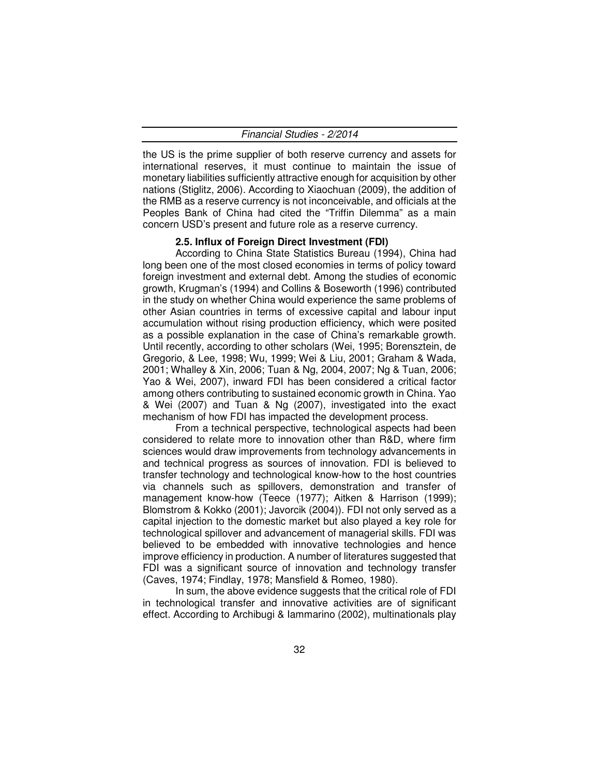| Financial Studies - 2/2014 |
|----------------------------|
|----------------------------|

the US is the prime supplier of both reserve currency and assets for international reserves, it must continue to maintain the issue of monetary liabilities sufficiently attractive enough for acquisition by other nations (Stiglitz, 2006). According to Xiaochuan (2009), the addition of the RMB as a reserve currency is not inconceivable, and officials at the Peoples Bank of China had cited the "Triffin Dilemma" as a main concern USD's present and future role as a reserve currency.

### **2.5. Influx of Foreign Direct Investment (FDI)**

According to China State Statistics Bureau (1994), China had long been one of the most closed economies in terms of policy toward foreign investment and external debt. Among the studies of economic growth, Krugman's (1994) and Collins & Boseworth (1996) contributed in the study on whether China would experience the same problems of other Asian countries in terms of excessive capital and labour input accumulation without rising production efficiency, which were posited as a possible explanation in the case of China's remarkable growth. Until recently, according to other scholars (Wei, 1995; Borensztein, de Gregorio, & Lee, 1998; Wu, 1999; Wei & Liu, 2001; Graham & Wada, 2001; Whalley & Xin, 2006; Tuan & Ng, 2004, 2007; Ng & Tuan, 2006; Yao & Wei, 2007), inward FDI has been considered a critical factor among others contributing to sustained economic growth in China. Yao & Wei (2007) and Tuan & Ng (2007), investigated into the exact mechanism of how FDI has impacted the development process.

From a technical perspective, technological aspects had been considered to relate more to innovation other than R&D, where firm sciences would draw improvements from technology advancements in and technical progress as sources of innovation. FDI is believed to transfer technology and technological know-how to the host countries via channels such as spillovers, demonstration and transfer of management know-how (Teece (1977); Aitken & Harrison (1999); Blomstrom & Kokko (2001); Javorcik (2004)). FDI not only served as a capital injection to the domestic market but also played a key role for technological spillover and advancement of managerial skills. FDI was believed to be embedded with innovative technologies and hence improve efficiency in production. A number of literatures suggested that FDI was a significant source of innovation and technology transfer (Caves, 1974; Findlay, 1978; Mansfield & Romeo, 1980).

In sum, the above evidence suggests that the critical role of FDI in technological transfer and innovative activities are of significant effect. According to Archibugi & Iammarino (2002), multinationals play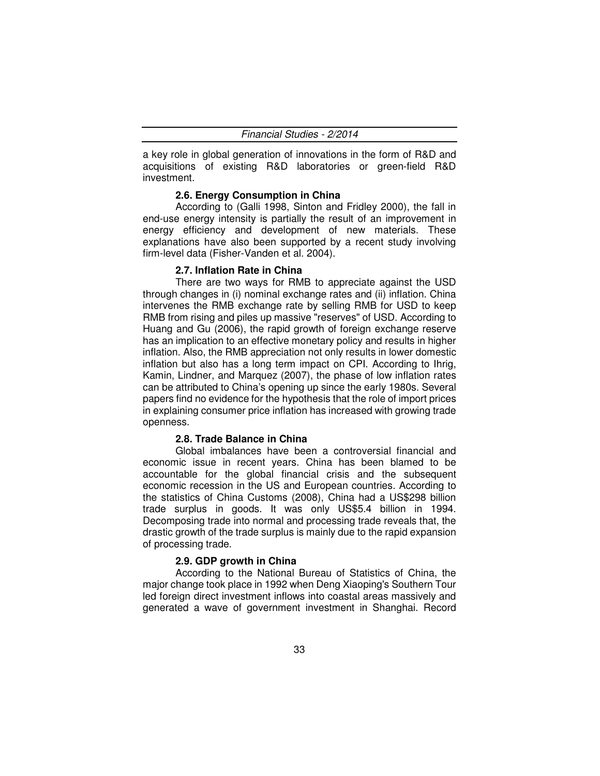a key role in global generation of innovations in the form of R&D and acquisitions of existing R&D laboratories or green-field R&D investment.

### **2.6. Energy Consumption in China**

According to (Galli 1998, Sinton and Fridley 2000), the fall in end-use energy intensity is partially the result of an improvement in energy efficiency and development of new materials. These explanations have also been supported by a recent study involving firm-level data (Fisher-Vanden et al. 2004).

### **2.7. Inflation Rate in China**

There are two ways for RMB to appreciate against the USD through changes in (i) nominal exchange rates and (ii) inflation. China intervenes the RMB exchange rate by selling RMB for USD to keep RMB from rising and piles up massive "reserves" of USD. According to Huang and Gu (2006), the rapid growth of foreign exchange reserve has an implication to an effective monetary policy and results in higher inflation. Also, the RMB appreciation not only results in lower domestic inflation but also has a long term impact on CPI. According to Ihrig, Kamin, Lindner, and Marquez (2007), the phase of low inflation rates can be attributed to China's opening up since the early 1980s. Several papers find no evidence for the hypothesis that the role of import prices in explaining consumer price inflation has increased with growing trade openness.

#### **2.8. Trade Balance in China**

Global imbalances have been a controversial financial and economic issue in recent years. China has been blamed to be accountable for the global financial crisis and the subsequent economic recession in the US and European countries. According to the statistics of China Customs (2008), China had a US\$298 billion trade surplus in goods. It was only US\$5.4 billion in 1994. Decomposing trade into normal and processing trade reveals that, the drastic growth of the trade surplus is mainly due to the rapid expansion of processing trade.

#### **2.9. GDP growth in China**

According to the National Bureau of Statistics of China, the major change took place in 1992 when Deng Xiaoping's Southern Tour led foreign direct investment inflows into coastal areas massively and generated a wave of government investment in Shanghai. Record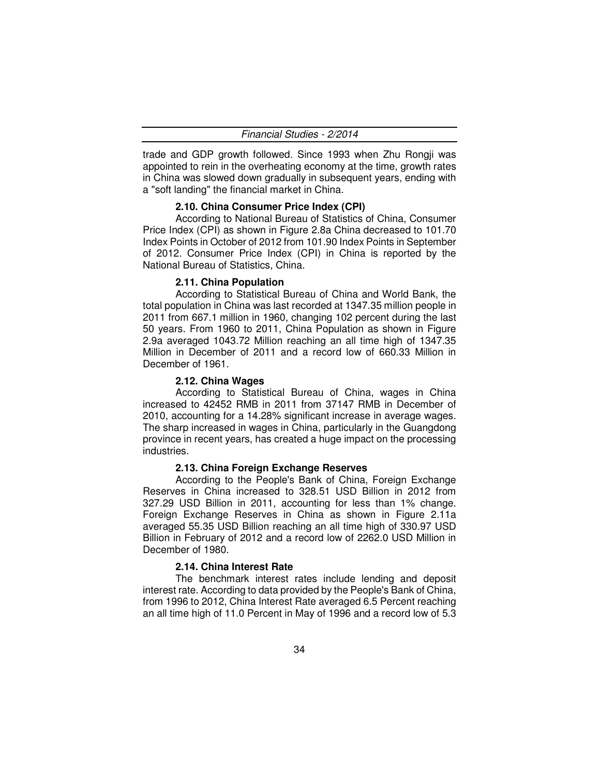|  | Financial Studies - 2/2014 |
|--|----------------------------|
|--|----------------------------|

trade and GDP growth followed. Since 1993 when Zhu Rongji was appointed to rein in the overheating economy at the time, growth rates in China was slowed down gradually in subsequent years, ending with a "soft landing" the financial market in China.

### **2.10. China Consumer Price Index (CPI)**

According to National Bureau of Statistics of China, Consumer Price Index (CPI) as shown in Figure 2.8a China decreased to 101.70 Index Points in October of 2012 from 101.90 Index Points in September of 2012. Consumer Price Index (CPI) in China is reported by the National Bureau of Statistics, China.

#### **2.11. China Population**

According to Statistical Bureau of China and World Bank, the total population in China was last recorded at 1347.35 million people in 2011 from 667.1 million in 1960, changing 102 percent during the last 50 years. From 1960 to 2011, China Population as shown in Figure 2.9a averaged 1043.72 Million reaching an all time high of 1347.35 Million in December of 2011 and a record low of 660.33 Million in December of 1961.

#### **2.12. China Wages**

According to Statistical Bureau of China, wages in China increased to 42452 RMB in 2011 from 37147 RMB in December of 2010, accounting for a 14.28% significant increase in average wages. The sharp increased in wages in China, particularly in the Guangdong province in recent years, has created a huge impact on the processing industries.

#### **2.13. China Foreign Exchange Reserves**

According to the People's Bank of China, Foreign Exchange Reserves in China increased to 328.51 USD Billion in 2012 from 327.29 USD Billion in 2011, accounting for less than 1% change. Foreign Exchange Reserves in China as shown in Figure 2.11a averaged 55.35 USD Billion reaching an all time high of 330.97 USD Billion in February of 2012 and a record low of 2262.0 USD Million in December of 1980.

#### **2.14. China Interest Rate**

The benchmark interest rates include lending and deposit interest rate. According to data provided by the People's Bank of China, from 1996 to 2012, China Interest Rate averaged 6.5 Percent reaching an all time high of 11.0 Percent in May of 1996 and a record low of 5.3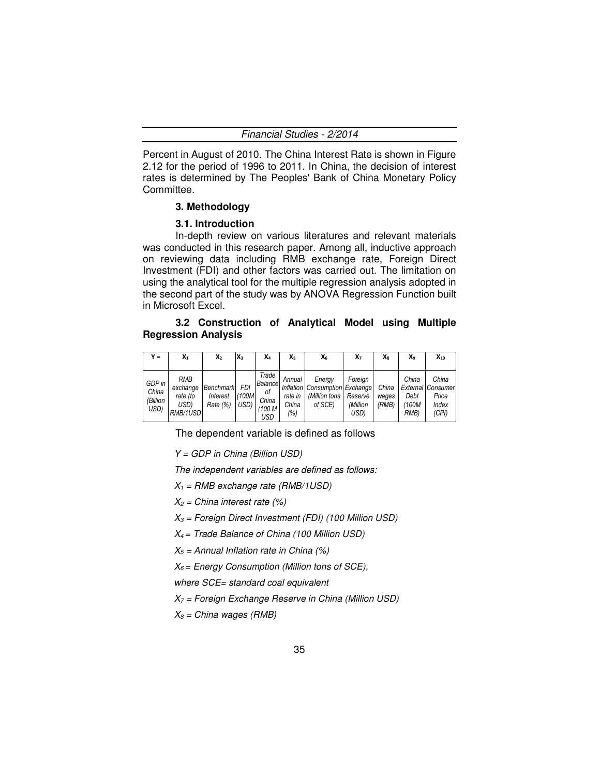Percent in August of 2010. The China Interest Rate is shown in Figure 2.12 for the period of 1996 to 2011. In China, the decision of interest rates is determined by The Peoples' Bank of China Monetary Policy Committee.

#### **3. Methodology**

#### **3.1. Introduction**

In-depth review on various literatures and relevant materials was conducted in this research paper. Among all, inductive approach on reviewing data including RMB exchange rate, Foreign Direct Investment (FDI) and other factors was carried out. The limitation on using the analytical tool for the multiple regression analysis adopted in the second part of the study was by ANOVA Regression Function built in Microsoft Excel.

### **3.2 Construction of Analytical Model using Multiple Regression Analysis**

| $Y =$                               | $\mathsf{X}_1$                                         | x <sub>2</sub>                    | $X_3$                 | X4                                               | Xs                                | X6                                                                           | X7                          | Xя                      | X۹                             | $X_{10}$                                              |
|-------------------------------------|--------------------------------------------------------|-----------------------------------|-----------------------|--------------------------------------------------|-----------------------------------|------------------------------------------------------------------------------|-----------------------------|-------------------------|--------------------------------|-------------------------------------------------------|
| GDP in<br>China<br>(Billion<br>USD) | <b>RMB</b><br>exchange<br>rate (to<br>USD)<br>RMB/1USD | Benchmark<br>Interest<br>Rate (%) | FDI<br>(100M)<br>USD) | Trade<br>Balance<br>οf<br>China<br>(100 M<br>USD | Annual<br>rate in<br>China<br>(%) | Energy<br>Inflation Consumption Exchange<br>(Million tons Reserve<br>of SCE) | Foreign<br>(Million<br>USD) | China<br>wages<br>(RMB) | China<br>Debt<br>(100M<br>RMB) | China<br>External Consumer<br>Price<br>Index<br>(CPI) |

The dependent variable is defined as follows

Y = GDP in China (Billion USD)

The independent variables are defined as follows:

- $X_1$  = RMB exchange rate (RMB/1USD)
- $X_2$  = China interest rate (%)

 $X_3$  = Foreign Direct Investment (FDI) (100 Million USD)

 $X_4$  = Trade Balance of China (100 Million USD)

 $X_5$  = Annual Inflation rate in China (%)

 $X_6$  = Energy Consumption (Million tons of SCE),

where SCE= standard coal equivalent

 $X_7$  = Foreign Exchange Reserve in China (Million USD)

 $X_8$  = China wages (RMB)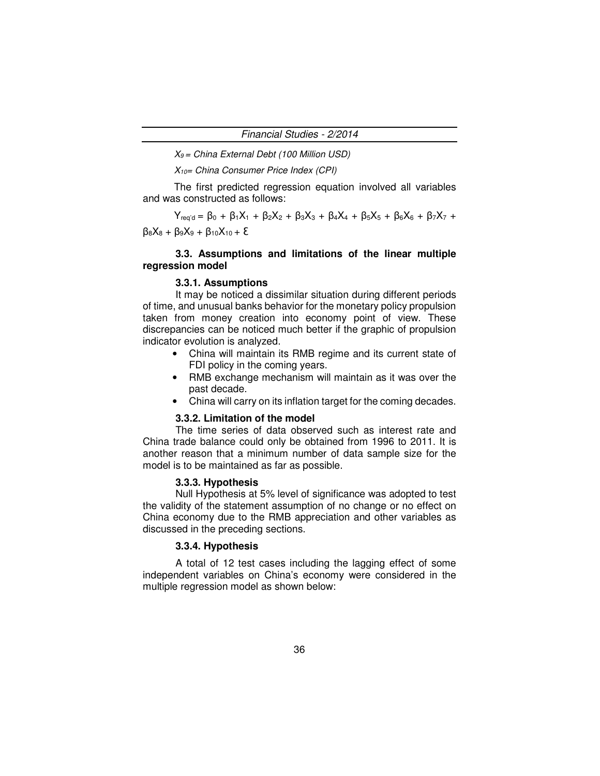$X_9$  = China External Debt (100 Million USD)

 $X_{10}$ = China Consumer Price Index (CPI)

The first predicted regression equation involved all variables and was constructed as follows:

 $Y_{\text{req'd}} = \beta_0 + \beta_1 X_1 + \beta_2 X_2 + \beta_3 X_3 + \beta_4 X_4 + \beta_5 X_5 + \beta_6 X_6 + \beta_7 X_7 +$  $β_8X_8 + β_9X_9 + β_{10}X_{10} + E$ 

### **3.3. Assumptions and limitations of the linear multiple regression model**

### **3.3.1. Assumptions**

It may be noticed a dissimilar situation during different periods of time, and unusual banks behavior for the monetary policy propulsion taken from money creation into economy point of view. These discrepancies can be noticed much better if the graphic of propulsion indicator evolution is analyzed.

- China will maintain its RMB regime and its current state of FDI policy in the coming years.
- RMB exchange mechanism will maintain as it was over the past decade.
- China will carry on its inflation target for the coming decades.

#### **3.3.2. Limitation of the model**

The time series of data observed such as interest rate and China trade balance could only be obtained from 1996 to 2011. It is another reason that a minimum number of data sample size for the model is to be maintained as far as possible.

### **3.3.3. Hypothesis**

Null Hypothesis at 5% level of significance was adopted to test the validity of the statement assumption of no change or no effect on China economy due to the RMB appreciation and other variables as discussed in the preceding sections.

#### **3.3.4. Hypothesis**

A total of 12 test cases including the lagging effect of some independent variables on China's economy were considered in the multiple regression model as shown below: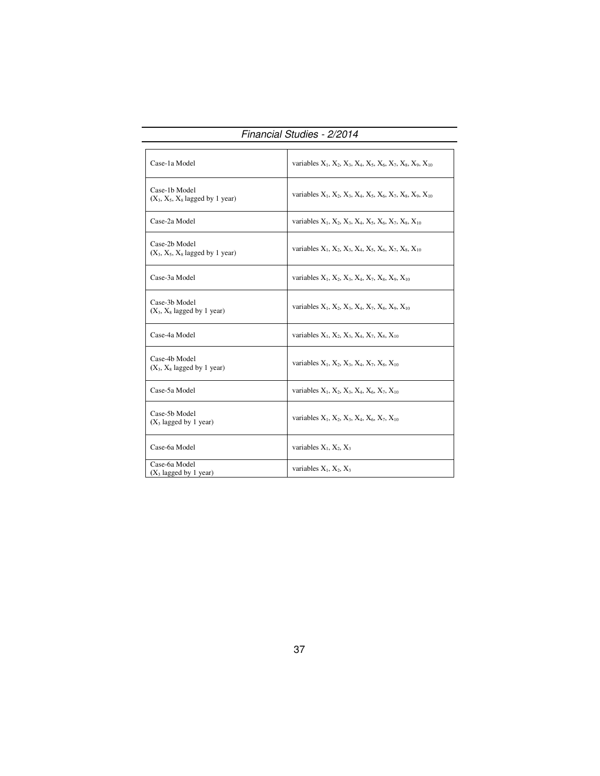|                                                     | <i>i iildiluldi oluul</i> to - 2/2014                           |
|-----------------------------------------------------|-----------------------------------------------------------------|
| Case-1a Model                                       | variables $X_1, X_2, X_3, X_4, X_5, X_6, X_7, X_8, X_9, X_{10}$ |
| Case-1b Model<br>$(X_3, X_5, X_8$ lagged by 1 year) | variables $X_1, X_2, X_3, X_4, X_5, X_6, X_7, X_8, X_9, X_{10}$ |
| Case-2a Model                                       | variables $X_1, X_2, X_3, X_4, X_5, X_6, X_7, X_8, X_{10}$      |
| Case-2b Model<br>$(X_3, X_5, X_8$ lagged by 1 year) | variables $X_1, X_2, X_3, X_4, X_5, X_6, X_7, X_8, X_{10}$      |
| Case-3a Model                                       | variables $X_1, X_2, X_3, X_4, X_7, X_8, X_9, X_{10}$           |
| Case-3b Model<br>$(X_3, X_8$ lagged by 1 year)      | variables $X_1, X_2, X_3, X_4, X_7, X_8, X_9, X_{10}$           |
| Case-4a Model                                       | variables $X_1, X_2, X_3, X_4, X_7, X_8, X_{10}$                |
| Case-4b Model<br>$(X_3, X_8)$ lagged by 1 year)     | variables $X_1, X_2, X_3, X_4, X_7, X_8, X_{10}$                |
| Case-5a Model                                       | variables $X_1, X_2, X_3, X_4, X_6, X_7, X_{10}$                |
| Case-5b Model<br>$(X_3$ lagged by 1 year)           | variables $X_1, X_2, X_3, X_4, X_6, X_7, X_{10}$                |
| Case-6a Model                                       | variables $X_1$ , $X_2$ , $X_3$                                 |
| Case-6a Model<br>$(X_3$ lagged by 1 year)           | variables $X_1, X_2, X_3$                                       |

Financial Studies - 2/2014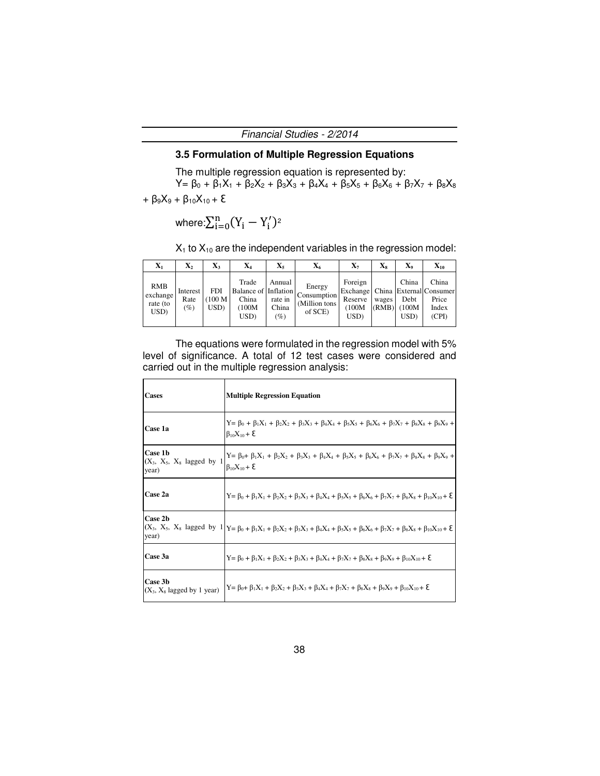### **3.5 Formulation of Multiple Regression Equations**

The multiple regression equation is represented by:

 $Y = \beta_0 + \beta_1 X_1 + \beta_2 X_2 + \beta_3 X_3 + \beta_4 X_4 + \beta_5 X_5 + \beta_6 X_6 + \beta_7 X_7 + \beta_8 X_8$ 

+ β<sub>9</sub>X<sub>9</sub> + β<sub>10</sub>X<sub>10</sub> + **ξ** 

$$
\text{where:}\Sigma_{i=0}^n(Y_i-Y_i')^{\scriptscriptstyle 2}
$$

 $X_1$  to  $X_{10}$  are the independent variables in the regression model:

| $\mathbf{X}_1$                             | $\mathbf{X}_2$          | $\mathbf{X}_3$                  | $\mathbf{X}_4$                                           | $\mathbf{X}_5$                       | X6                                                | $\mathbf{X}_7$                       | X8             | X9                              | $\mathbf{X}_{10}$                                                        |
|--------------------------------------------|-------------------------|---------------------------------|----------------------------------------------------------|--------------------------------------|---------------------------------------------------|--------------------------------------|----------------|---------------------------------|--------------------------------------------------------------------------|
| <b>RMB</b><br>exchange<br>rate (to<br>USD) | Interest<br>Rate<br>(%) | FDI<br>100 <sub>M</sub><br>USD) | Trade<br>Balance of Inflation<br>China<br>(100M)<br>USD) | Annual<br>rate in<br>China<br>$(\%)$ | Energy<br>Consumption<br>(Million tons<br>of SCE) | Foreign<br>Reserve<br>(100M)<br>USD) | wages<br>(RMB) | China<br>Debt<br>(100M)<br>USD) | China<br>Exchange   China   External Consumer<br>Price<br>Index<br>(CPI) |

The equations were formulated in the regression model with 5% level of significance. A total of 12 test cases were considered and carried out in the multiple regression analysis:

| <b>Cases</b>                                     | <b>Multiple Regression Equation</b>                                                                                                                                                       |
|--------------------------------------------------|-------------------------------------------------------------------------------------------------------------------------------------------------------------------------------------------|
| Case 1a                                          | $Y = \beta_0 + \beta_1 X_1 + \beta_2 X_2 + \beta_3 X_3 + \beta_4 X_4 + \beta_5 X_5 + \beta_6 X_6 + \beta_7 X_7 + \beta_8 X_8 + \beta_9 X_9 +$<br>$\beta_{10}X_{10} + \Sigma$              |
| Case 1b<br>$(X_3, X_5, X_8$ lagged by 1<br>year) | $Y = \beta_0 + \beta_1 X_1 + \beta_2 X_2 + \beta_3 X_3 + \beta_4 X_4 + \beta_5 X_5 + \beta_6 X_6 + \beta_7 X_7 + \beta_8 X_8 + \beta_9 X_9 +$<br>$β_{10}X_{10} + Σ$                       |
| Case 2a                                          | $Y = \beta_0 + \beta_1 X_1 + \beta_2 X_2 + \beta_3 X_3 + \beta_4 X_4 + \beta_5 X_5 + \beta_6 X_6 + \beta_7 X_7 + \beta_8 X_8 + \beta_{10} X_{10} + \epsilon$                              |
| Case 2b<br>year)                                 | $(X_3, X_5, X_8$ lagged by $1 Y = \beta_0 + \beta_1 X_1 + \beta_2 X_2 + \beta_3 X_3 + \beta_4 X_4 + \beta_5 X_5 + \beta_6 X_6 + \beta_7 X_7 + \beta_8 X_8 + \beta_{10} X_{10} + \epsilon$ |
| Case 3a                                          | $Y = \beta_0 + \beta_1 X_1 + \beta_2 X_2 + \beta_3 X_3 + \beta_4 X_4 + \beta_7 X_7 + \beta_8 X_8 + \beta_9 X_9 + \beta_{10} X_{10} + \epsilon$                                            |
| Case 3b<br>$(X_3, X_8)$ lagged by 1 year)        | $Y = \beta_0 + \beta_1 X_1 + \beta_2 X_2 + \beta_3 X_3 + \beta_4 X_4 + \beta_7 X_7 + \beta_8 X_8 + \beta_9 X_9 + \beta_{10} X_{10} + \epsilon$                                            |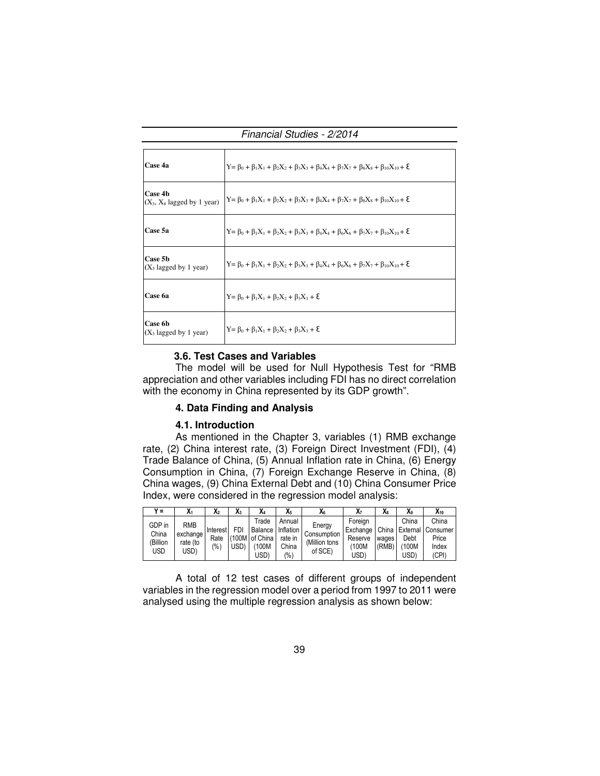Financial Studies - 2/2014

| Case 4a                                    | $Y = \beta_0 + \beta_1 X_1 + \beta_2 X_2 + \beta_3 X_3 + \beta_4 X_4 + \beta_7 X_7 + \beta_8 X_8 + \beta_{10} X_{10} + \epsilon$ |
|--------------------------------------------|----------------------------------------------------------------------------------------------------------------------------------|
| Case 4b<br>$(X_3, X_8$ lagged by 1 year)   | $Y = \beta_0 + \beta_1 X_1 + \beta_2 X_2 + \beta_3 X_3 + \beta_4 X_4 + \beta_7 X_7 + \beta_8 X_8 + \beta_{10} X_{10} + \epsilon$ |
| Case 5a                                    | $Y = \beta_0 + \beta_1 X_1 + \beta_2 X_2 + \beta_3 X_3 + \beta_4 X_4 + \beta_6 X_6 + \beta_7 X_7 + \beta_{10} X_{10} + \xi$      |
| Case 5b<br>$(X_3$ lagged by 1 year)        | $Y = \beta_0 + \beta_1 X_1 + \beta_2 X_2 + \beta_3 X_3 + \beta_4 X_4 + \beta_6 X_6 + \beta_7 X_7 + \beta_{10} X_{10} + \xi$      |
| Case 6a                                    | $Y = \beta_0 + \beta_1 X_1 + \beta_2 X_2 + \beta_3 X_3 + \xi$                                                                    |
| <b>Case 6b</b><br>$(X_3$ lagged by 1 year) | $Y = \beta_0 + \beta_1 X_1 + \beta_2 X_2 + \beta_3 X_3 + \xi$                                                                    |

### **3.6. Test Cases and Variables**

The model will be used for Null Hypothesis Test for "RMB appreciation and other variables including FDI has no direct correlation with the economy in China represented by its GDP growth".

#### **4. Data Finding and Analysis**

### **4.1. Introduction**

As mentioned in the Chapter 3, variables (1) RMB exchange rate, (2) China interest rate, (3) Foreign Direct Investment (FDI), (4) Trade Balance of China, (5) Annual Inflation rate in China, (6) Energy Consumption in China, (7) Foreign Exchange Reserve in China, (8) China wages, (9) China External Debt and (10) China Consumer Price Index, were considered in the regression model analysis:

| $V =$    | $\mathbf{M}$ | X <sub>2</sub> | v<br>А3 | X4             | X <sub>5</sub> | Ā6            | Х7       | X8    | X9    | $X_{10}$          |
|----------|--------------|----------------|---------|----------------|----------------|---------------|----------|-------|-------|-------------------|
| GDP in   | <b>RMB</b>   |                |         | Trade          | Annual         | Energy        | Foreian  |       | China | China             |
| China    | exchange     | Interest       | FDI     | Balance        | Inflation      | Consumption   | Exchange | China |       | External Consumer |
|          |              | Rate           |         | (100M of China | rate in        |               | Reserve  | wages | Debt  | Price             |
| (Billion | rate (to     | $\frac{10}{6}$ | USD)    | (100M          | China          | (Million tons | 100M)    | (RMB) | 100M) | Index             |
| USD      | USD).        |                |         | USD)           | (%)            | of SCE)       | USD)     |       | USD)  | (CPI)             |

A total of 12 test cases of different groups of independent variables in the regression model over a period from 1997 to 2011 were analysed using the multiple regression analysis as shown below: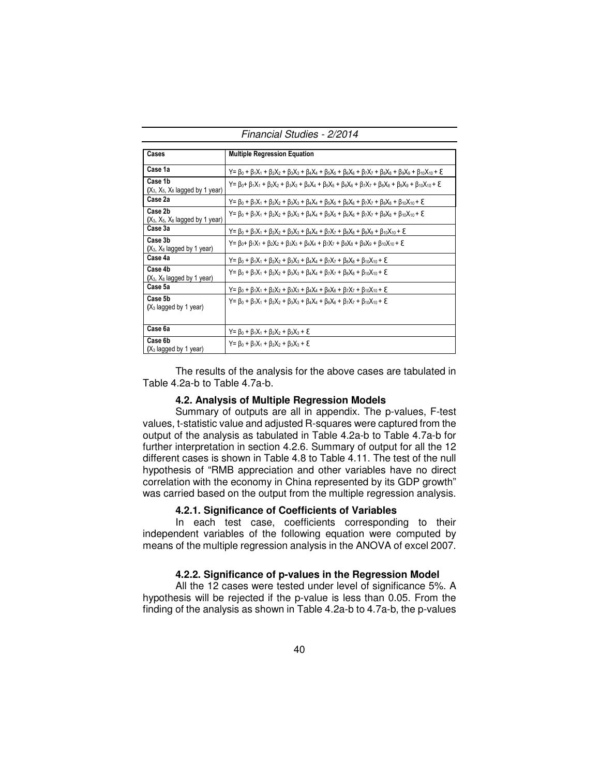Financial Studies - 2/2014

| Cases                                         | <b>Multiple Regression Equation</b>                                                                                                                                        |
|-----------------------------------------------|----------------------------------------------------------------------------------------------------------------------------------------------------------------------------|
| Case 1a                                       | $Y = \beta_0 + \beta_1 X_1 + \beta_2 X_2 + \beta_3 X_3 + \beta_4 X_4 + \beta_5 X_5 + \beta_6 X_6 + \beta_7 X_7 + \beta_8 X_8 + \beta_9 X_9 + \beta_{10} X_{10} + \epsilon$ |
| Case 1b<br>$(X_3, X_5, X_8$ lagged by 1 year) | $Y = \beta_0 + \beta_1 X_1 + \beta_2 X_2 + \beta_3 X_3 + \beta_4 X_4 + \beta_5 X_5 + \beta_6 X_6 + \beta_7 X_7 + \beta_8 X_8 + \beta_9 X_9 + \beta_{10} X_{10} + \epsilon$ |
| Case 2a                                       | $Y = \beta_0 + \beta_1 X_1 + \beta_2 X_2 + \beta_3 X_3 + \beta_4 X_4 + \beta_5 X_5 + \beta_6 X_6 + \beta_7 X_7 + \beta_8 X_8 + \beta_{10} X_{10} + \epsilon$               |
| Case 2b<br>$(X_3, X_5, X_8$ lagged by 1 year) | $Y = \beta_0 + \beta_1 X_1 + \beta_2 X_2 + \beta_3 X_3 + \beta_4 X_4 + \beta_5 X_5 + \beta_6 X_6 + \beta_7 X_7 + \beta_8 X_8 + \beta_{10} X_{10} + \epsilon$               |
| Case 3a                                       | $Y = \beta_0 + \beta_1 X_1 + \beta_2 X_2 + \beta_3 X_3 + \beta_4 X_4 + \beta_7 X_7 + \beta_8 X_8 + \beta_9 X_9 + \beta_{10} X_{10} + \epsilon$                             |
| Case 3b<br>$(X_3, X_8)$ lagged by 1 year)     | Y = $\beta_0$ + $\beta_1X_1$ + $\beta_2X_2$ + $\beta_3X_3$ + $\beta_4X_4$ + $\beta_7X_7$ + $\beta_8X_8$ + $\beta_9X_9$ + $\beta_{10}X_{10}$ + $\epsilon$                   |
| Case 4a                                       | Y= $\beta_0$ + $\beta_1X_1$ + $\beta_2X_2$ + $\beta_3X_3$ + $\beta_4X_4$ + $\beta_7X_7$ + $\beta_8X_8$ + $\beta_{10}X_{10}$ + $\epsilon$                                   |
| Case 4b<br>$(X_3, X_8)$ lagged by 1 year)     | Y = $\beta_0$ + $\beta_1X_1$ + $\beta_2X_2$ + $\beta_3X_3$ + $\beta_4X_4$ + $\beta_7X_7$ + $\beta_8X_8$ + $\beta_{10}X_{10}$ + $\epsilon$                                  |
| Case 5a                                       | $Y = \beta_0 + \beta_1 X_1 + \beta_2 X_2 + \beta_3 X_3 + \beta_4 X_4 + \beta_6 X_6 + \beta_7 X_7 + \beta_{10} X_{10} + \epsilon$                                           |
| Case 5b<br>$(X_3 \text{ lagged by 1 year})$   | Y = $\beta_0$ + $\beta_1X_1$ + $\beta_2X_2$ + $\beta_3X_3$ + $\beta_4X_4$ + $\beta_6X_6$ + $\beta_7X_7$ + $\beta_{10}X_{10}$ + $\epsilon$                                  |
| Case 6a                                       | $Y = \beta_0 + \beta_1 X_1 + \beta_2 X_2 + \beta_3 X_3 + \epsilon$                                                                                                         |
| Case 6b<br>$(X_3 \text{ lagged by 1 year})$   | $Y = \beta_0 + \beta_1 X_1 + \beta_2 X_2 + \beta_3 X_3 + \epsilon$                                                                                                         |

The results of the analysis for the above cases are tabulated in Table 4.2a-b to Table 4.7a-b.

#### **4.2. Analysis of Multiple Regression Models**

Summary of outputs are all in appendix. The p-values, F-test values, t-statistic value and adjusted R-squares were captured from the output of the analysis as tabulated in Table 4.2a-b to Table 4.7a-b for further interpretation in section 4.2.6. Summary of output for all the 12 different cases is shown in Table 4.8 to Table 4.11. The test of the null hypothesis of "RMB appreciation and other variables have no direct correlation with the economy in China represented by its GDP growth" was carried based on the output from the multiple regression analysis.

#### **4.2.1. Significance of Coefficients of Variables**

In each test case, coefficients corresponding to their independent variables of the following equation were computed by means of the multiple regression analysis in the ANOVA of excel 2007.

#### **4.2.2. Significance of p-values in the Regression Model**

All the 12 cases were tested under level of significance 5%. A hypothesis will be rejected if the p-value is less than 0.05. From the finding of the analysis as shown in Table 4.2a-b to 4.7a-b, the p-values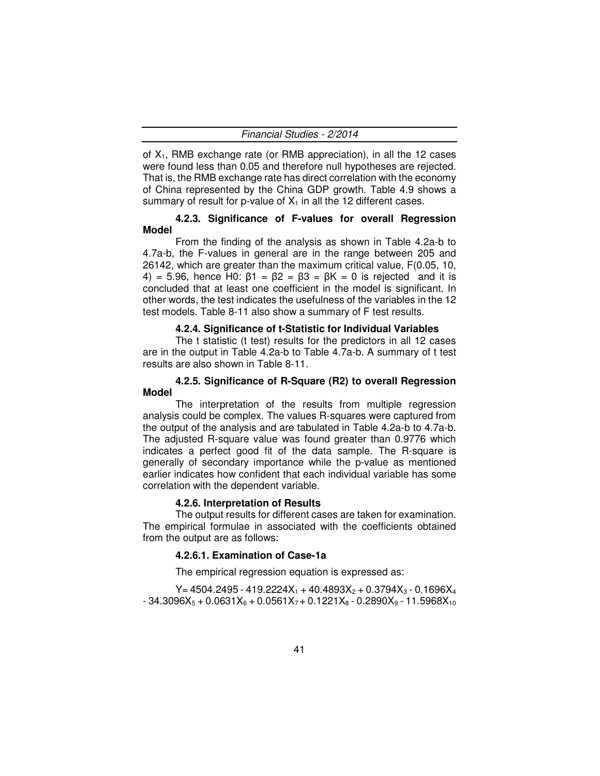of  $X_1$ , RMB exchange rate (or RMB appreciation), in all the 12 cases were found less than 0.05 and therefore null hypotheses are rejected. That is, the RMB exchange rate has direct correlation with the economy of China represented by the China GDP growth. Table 4.9 shows a summary of result for p-value of  $X_1$  in all the 12 different cases.

### **4.2.3. Significance of F-values for overall Regression Model**

From the finding of the analysis as shown in Table 4.2a-b to 4.7a-b, the F-values in general are in the range between 205 and 26142, which are greater than the maximum critical value, F(0.05, 10, 4) = 5.96, hence H0:  $β1 = β2 = β3 = βK = 0$  is rejected and it is concluded that at least one coefficient in the model is significant. In other words, the test indicates the usefulness of the variables in the 12 test models. Table 8-11 also show a summary of F test results.

#### **4.2.4. Significance of t-Statistic for Individual Variables**

The t statistic (t test) results for the predictors in all 12 cases are in the output in Table 4.2a-b to Table 4.7a-b. A summary of t test results are also shown in Table 8-11.

#### **4.2.5. Significance of R-Square (R2) to overall Regression Model**

The interpretation of the results from multiple regression analysis could be complex. The values R-squares were captured from the output of the analysis and are tabulated in Table 4.2a-b to 4.7a-b. The adjusted R-square value was found greater than 0.9776 which indicates a perfect good fit of the data sample. The R-square is generally of secondary importance while the p-value as mentioned earlier indicates how confident that each individual variable has some correlation with the dependent variable.

#### **4.2.6. Interpretation of Results**

The output results for different cases are taken for examination. The empirical formulae in associated with the coefficients obtained from the output are as follows:

#### **4.2.6.1. Examination of Case-1a**

The empirical regression equation is expressed as:

 $Y = 4504.2495 - 419.2224X_1 + 40.4893X_2 + 0.3794X_3 - 0.1696X_4$  $-34.3096X_5 + 0.0631X_6 + 0.0561X_7 + 0.1221X_8 - 0.2890X_9 - 11.5968X_{10}$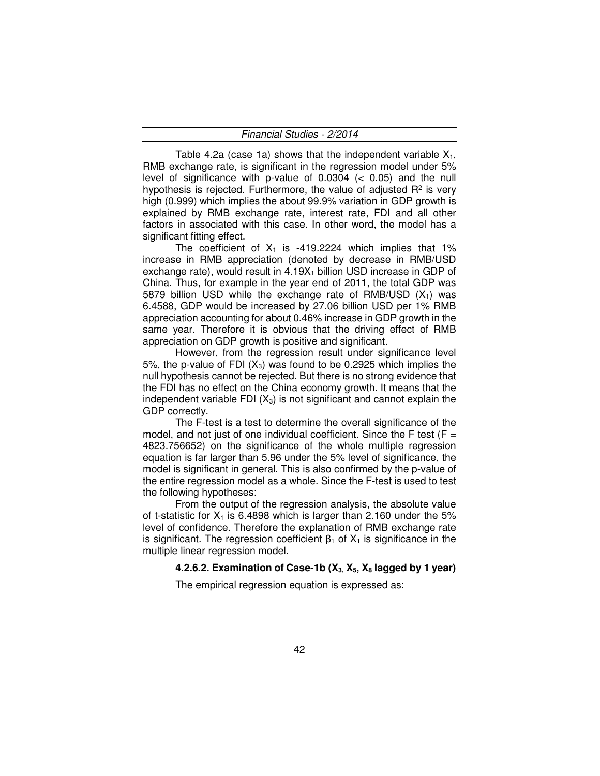Table 4.2a (case 1a) shows that the independent variable  $X_1$ , RMB exchange rate, is significant in the regression model under 5% level of significance with p-value of  $0.0304$  ( $< 0.05$ ) and the null hypothesis is rejected. Furthermore, the value of adjusted  $R<sup>2</sup>$  is very high (0.999) which implies the about 99.9% variation in GDP growth is explained by RMB exchange rate, interest rate, FDI and all other factors in associated with this case. In other word, the model has a significant fitting effect.

The coefficient of  $X_1$  is -419.2224 which implies that 1% increase in RMB appreciation (denoted by decrease in RMB/USD exchange rate), would result in  $4.19X<sub>1</sub>$  billion USD increase in GDP of China. Thus, for example in the year end of 2011, the total GDP was 5879 billion USD while the exchange rate of RMB/USD  $(X_1)$  was 6.4588, GDP would be increased by 27.06 billion USD per 1% RMB appreciation accounting for about 0.46% increase in GDP growth in the same year. Therefore it is obvious that the driving effect of RMB appreciation on GDP growth is positive and significant.

However, from the regression result under significance level 5%, the p-value of FDI  $(X_3)$  was found to be 0.2925 which implies the null hypothesis cannot be rejected. But there is no strong evidence that the FDI has no effect on the China economy growth. It means that the independent variable FDI  $(X_3)$  is not significant and cannot explain the GDP correctly.

The F-test is a test to determine the overall significance of the model, and not just of one individual coefficient. Since the  $F$  test ( $F =$ 4823.756652) on the significance of the whole multiple regression equation is far larger than 5.96 under the 5% level of significance, the model is significant in general. This is also confirmed by the p-value of the entire regression model as a whole. Since the F-test is used to test the following hypotheses:

From the output of the regression analysis, the absolute value of t-statistic for  $X_1$  is 6.4898 which is larger than 2.160 under the 5% level of confidence. Therefore the explanation of RMB exchange rate is significant. The regression coefficient  $β_1$  of  $X_1$  is significance in the multiple linear regression model.

### **4.2.6.2. Examination of Case-1b (X3, X5, X8 lagged by 1 year)**

The empirical regression equation is expressed as: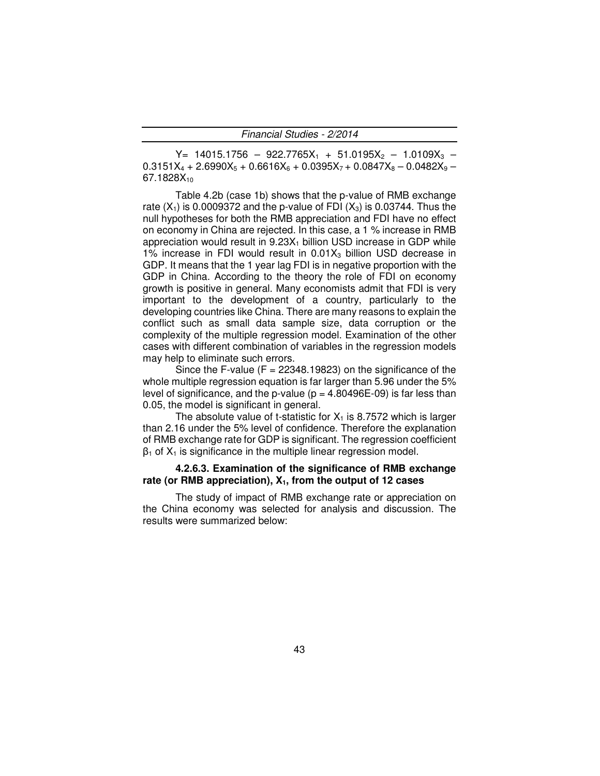$Y= 14015.1756 - 922.7765X_1 + 51.0195X_2 - 1.0109X_3 0.3151X_4 + 2.6990X_5 + 0.6616X_6 + 0.0395X_7 + 0.0847X_8 - 0.0482X_9 -$ 67.1828X<sub>10</sub>

Table 4.2b (case 1b) shows that the p-value of RMB exchange rate  $(X_1)$  is 0.0009372 and the p-value of FDI  $(X_3)$  is 0.03744. Thus the null hypotheses for both the RMB appreciation and FDI have no effect on economy in China are rejected. In this case, a 1 % increase in RMB appreciation would result in  $9.23X_1$  billion USD increase in GDP while 1% increase in FDI would result in  $0.01X_3$  billion USD decrease in GDP. It means that the 1 year lag FDI is in negative proportion with the GDP in China. According to the theory the role of FDI on economy growth is positive in general. Many economists admit that FDI is very important to the development of a country, particularly to the developing countries like China. There are many reasons to explain the conflict such as small data sample size, data corruption or the complexity of the multiple regression model. Examination of the other cases with different combination of variables in the regression models may help to eliminate such errors.

Since the F-value ( $F = 22348.19823$ ) on the significance of the whole multiple regression equation is far larger than 5.96 under the 5% level of significance, and the p-value ( $p = 4.80496E-09$ ) is far less than 0.05, the model is significant in general.

The absolute value of t-statistic for  $X_1$  is 8.7572 which is larger than 2.16 under the 5% level of confidence. Therefore the explanation of RMB exchange rate for GDP is significant. The regression coefficient  $\beta_1$  of  $X_1$  is significance in the multiple linear regression model.

#### **4.2.6.3. Examination of the significance of RMB exchange rate (or RMB appreciation), X1, from the output of 12 cases**

The study of impact of RMB exchange rate or appreciation on the China economy was selected for analysis and discussion. The results were summarized below: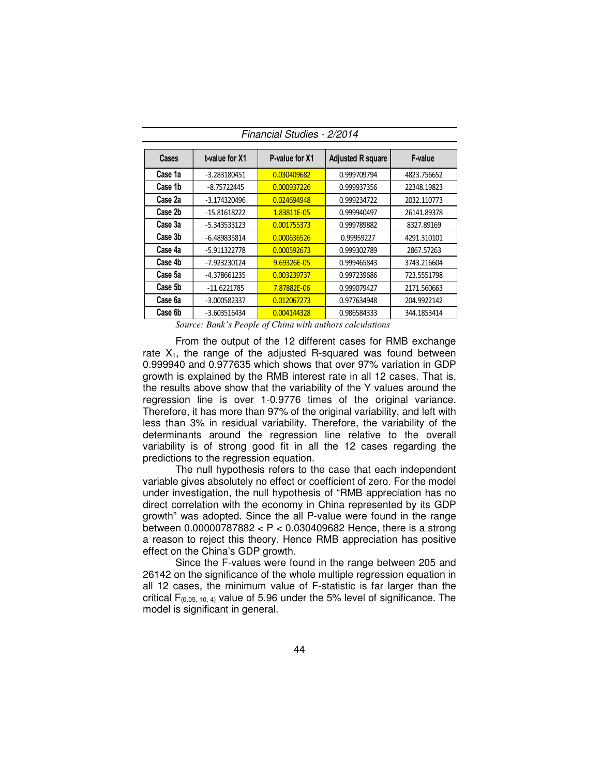| Cases   | t-value for X1 | P-value for X1 | <b>Adjusted R square</b> | F-value     |
|---------|----------------|----------------|--------------------------|-------------|
| Case 1a | $-3.283180451$ | 0.030409682    | 0.999709794              | 4823.756652 |
| Case 1b | $-8.75722445$  | 0.000937226    | 0.999937356              | 22348.19823 |
| Case 2a | $-3.174320496$ | 0.024694948    | 0.999234722              | 2032.110773 |
| Case 2b | $-15.81618222$ | 1.83811E-05    | 0.999940497              | 26141.89378 |
| Case 3a | $-5.343533123$ | 0.001755373    | 0.999789882              | 8327.89169  |
| Case 3b | $-6.489835814$ | 0.000636526    | 0.99959227               | 4291.310101 |
| Case 4a | -5.911322778   | 0.000592673    | 0.999302789              | 2867.57263  |
| Case 4b | -7.923230124   | 9.69326E-05    | 0.999465843              | 3743.216604 |
| Case 5a | -4.378661235   | 0.003239737    | 0.997239686              | 723.5551798 |
| Case 5b | $-11.6221785$  | 7.87882E-06    | 0.999079427              | 2171.560663 |
| Case 6a | $-3.000582337$ | 0.012067273    | 0.977634948              | 204.9922142 |
| Case 6b | $-3.603516434$ | 0.004144328    | 0.986584333              | 344.1853414 |

Financial Studies - 2/2014

*Source: Bank's People of China with authors calculations* 

From the output of the 12 different cases for RMB exchange rate  $X_1$ , the range of the adjusted R-squared was found between 0.999940 and 0.977635 which shows that over 97% variation in GDP growth is explained by the RMB interest rate in all 12 cases. That is, the results above show that the variability of the Y values around the regression line is over 1-0.9776 times of the original variance. Therefore, it has more than 97% of the original variability, and left with less than 3% in residual variability. Therefore, the variability of the determinants around the regression line relative to the overall variability is of strong good fit in all the 12 cases regarding the predictions to the regression equation.

The null hypothesis refers to the case that each independent variable gives absolutely no effect or coefficient of zero. For the model under investigation, the null hypothesis of "RMB appreciation has no direct correlation with the economy in China represented by its GDP growth" was adopted. Since the all P-value were found in the range between 0.00000787882 < P < 0.030409682 Hence, there is a strong a reason to reject this theory. Hence RMB appreciation has positive effect on the China's GDP growth.

Since the F-values were found in the range between 205 and 26142 on the significance of the whole multiple regression equation in all 12 cases, the minimum value of F-statistic is far larger than the critical  $F_{(0.05, 10, 4)}$  value of 5.96 under the 5% level of significance. The model is significant in general.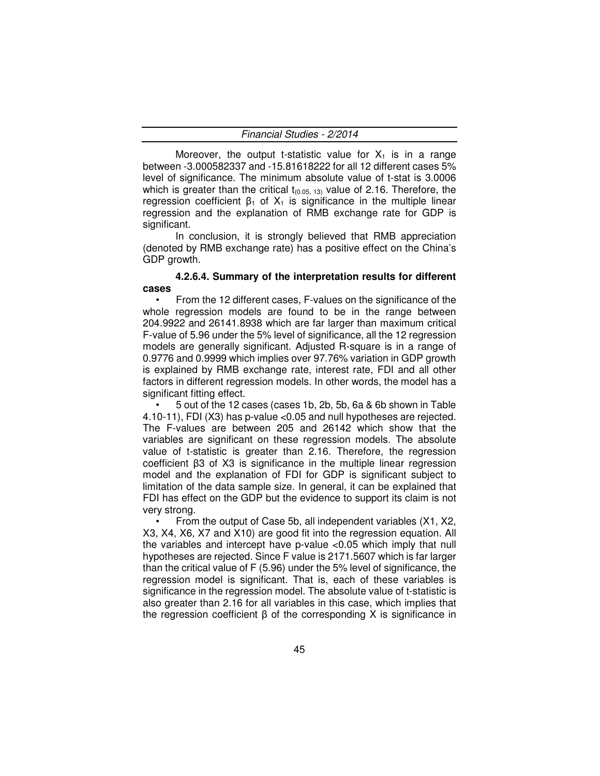Moreover, the output t-statistic value for  $X_1$  is in a range between -3.000582337 and -15.81618222 for all 12 different cases 5% level of significance. The minimum absolute value of t-stat is 3.0006 which is greater than the critical  $t_{(0.05, 13)}$  value of 2.16. Therefore, the regression coefficient  $β_1$  of  $X_1$  is significance in the multiple linear regression and the explanation of RMB exchange rate for GDP is significant.

In conclusion, it is strongly believed that RMB appreciation (denoted by RMB exchange rate) has a positive effect on the China's GDP growth.

#### **4.2.6.4. Summary of the interpretation results for different cases**

• From the 12 different cases, F-values on the significance of the whole regression models are found to be in the range between 204.9922 and 26141.8938 which are far larger than maximum critical F-value of 5.96 under the 5% level of significance, all the 12 regression models are generally significant. Adjusted R-square is in a range of 0.9776 and 0.9999 which implies over 97.76% variation in GDP growth is explained by RMB exchange rate, interest rate, FDI and all other factors in different regression models. In other words, the model has a significant fitting effect.

• 5 out of the 12 cases (cases 1b, 2b, 5b, 6a & 6b shown in Table 4.10-11), FDI (X3) has p-value <0.05 and null hypotheses are rejected. The F-values are between 205 and 26142 which show that the variables are significant on these regression models. The absolute value of t-statistic is greater than 2.16. Therefore, the regression coefficient β3 of X3 is significance in the multiple linear regression model and the explanation of FDI for GDP is significant subject to limitation of the data sample size. In general, it can be explained that FDI has effect on the GDP but the evidence to support its claim is not very strong.

• From the output of Case 5b, all independent variables (X1, X2, X3, X4, X6, X7 and X10) are good fit into the regression equation. All the variables and intercept have p-value <0.05 which imply that null hypotheses are rejected. Since F value is 2171.5607 which is far larger than the critical value of F (5.96) under the 5% level of significance, the regression model is significant. That is, each of these variables is significance in the regression model. The absolute value of t-statistic is also greater than 2.16 for all variables in this case, which implies that the regression coefficient  $β$  of the corresponding  $X$  is significance in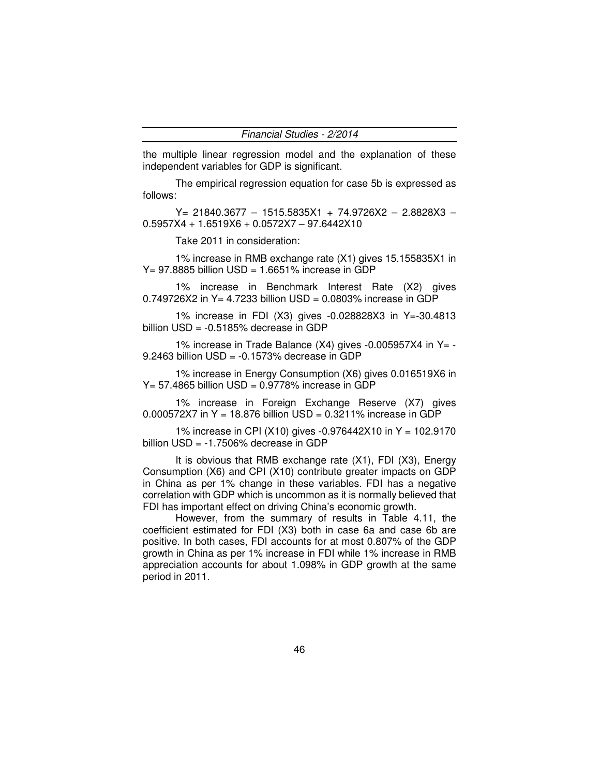the multiple linear regression model and the explanation of these independent variables for GDP is significant.

The empirical regression equation for case 5b is expressed as follows:

Y= 21840.3677 – 1515.5835X1 + 74.9726X2 – 2.8828X3 – 0.5957X4 + 1.6519X6 + 0.0572X7 – 97.6442X10

Take 2011 in consideration:

1% increase in RMB exchange rate (X1) gives 15.155835X1 in  $Y = 97.8885$  billion USD = 1.6651% increase in GDP

1% increase in Benchmark Interest Rate (X2) gives 0.749726X2 in Y= 4.7233 billion USD = 0.0803% increase in GDP

1% increase in FDI (X3) gives -0.028828X3 in Y=-30.4813 billion USD = -0.5185% decrease in GDP

1% increase in Trade Balance (X4) gives -0.005957X4 in Y= - 9.2463 billion USD = -0.1573% decrease in GDP

1% increase in Energy Consumption (X6) gives 0.016519X6 in  $Y = 57.4865$  billion USD = 0.9778% increase in GDP

1% increase in Foreign Exchange Reserve (X7) gives 0.000572X7 in Y = 18.876 billion USD = 0.3211% increase in GDP

1% increase in CPI (X10) gives -0.976442X10 in Y = 102.9170 billion USD = -1.7506% decrease in GDP

It is obvious that RMB exchange rate (X1), FDI (X3), Energy Consumption (X6) and CPI (X10) contribute greater impacts on GDP in China as per 1% change in these variables. FDI has a negative correlation with GDP which is uncommon as it is normally believed that FDI has important effect on driving China's economic growth.

However, from the summary of results in Table 4.11, the coefficient estimated for FDI (X3) both in case 6a and case 6b are positive. In both cases, FDI accounts for at most 0.807% of the GDP growth in China as per 1% increase in FDI while 1% increase in RMB appreciation accounts for about 1.098% in GDP growth at the same period in 2011.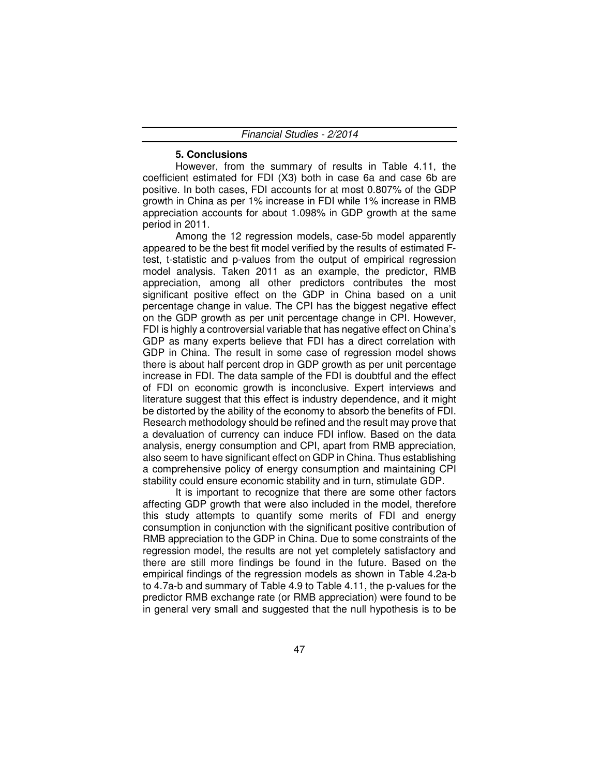#### **5. Conclusions**

However, from the summary of results in Table 4.11, the coefficient estimated for FDI (X3) both in case 6a and case 6b are positive. In both cases, FDI accounts for at most 0.807% of the GDP growth in China as per 1% increase in FDI while 1% increase in RMB appreciation accounts for about 1.098% in GDP growth at the same period in 2011.

Among the 12 regression models, case-5b model apparently appeared to be the best fit model verified by the results of estimated Ftest, t-statistic and p-values from the output of empirical regression model analysis. Taken 2011 as an example, the predictor, RMB appreciation, among all other predictors contributes the most significant positive effect on the GDP in China based on a unit percentage change in value. The CPI has the biggest negative effect on the GDP growth as per unit percentage change in CPI. However, FDI is highly a controversial variable that has negative effect on China's GDP as many experts believe that FDI has a direct correlation with GDP in China. The result in some case of regression model shows there is about half percent drop in GDP growth as per unit percentage increase in FDI. The data sample of the FDI is doubtful and the effect of FDI on economic growth is inconclusive. Expert interviews and literature suggest that this effect is industry dependence, and it might be distorted by the ability of the economy to absorb the benefits of FDI. Research methodology should be refined and the result may prove that a devaluation of currency can induce FDI inflow. Based on the data analysis, energy consumption and CPI, apart from RMB appreciation, also seem to have significant effect on GDP in China. Thus establishing a comprehensive policy of energy consumption and maintaining CPI stability could ensure economic stability and in turn, stimulate GDP.

It is important to recognize that there are some other factors affecting GDP growth that were also included in the model, therefore this study attempts to quantify some merits of FDI and energy consumption in conjunction with the significant positive contribution of RMB appreciation to the GDP in China. Due to some constraints of the regression model, the results are not yet completely satisfactory and there are still more findings be found in the future. Based on the empirical findings of the regression models as shown in Table 4.2a-b to 4.7a-b and summary of Table 4.9 to Table 4.11, the p-values for the predictor RMB exchange rate (or RMB appreciation) were found to be in general very small and suggested that the null hypothesis is to be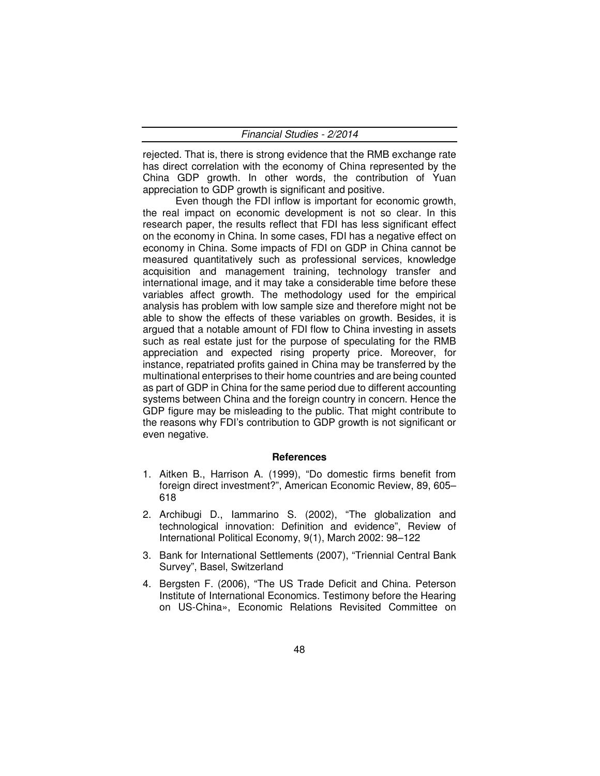rejected. That is, there is strong evidence that the RMB exchange rate has direct correlation with the economy of China represented by the China GDP growth. In other words, the contribution of Yuan appreciation to GDP growth is significant and positive.

Even though the FDI inflow is important for economic growth, the real impact on economic development is not so clear. In this research paper, the results reflect that FDI has less significant effect on the economy in China. In some cases, FDI has a negative effect on economy in China. Some impacts of FDI on GDP in China cannot be measured quantitatively such as professional services, knowledge acquisition and management training, technology transfer and international image, and it may take a considerable time before these variables affect growth. The methodology used for the empirical analysis has problem with low sample size and therefore might not be able to show the effects of these variables on growth. Besides, it is argued that a notable amount of FDI flow to China investing in assets such as real estate just for the purpose of speculating for the RMB appreciation and expected rising property price. Moreover, for instance, repatriated profits gained in China may be transferred by the multinational enterprises to their home countries and are being counted as part of GDP in China for the same period due to different accounting systems between China and the foreign country in concern. Hence the GDP figure may be misleading to the public. That might contribute to the reasons why FDI's contribution to GDP growth is not significant or even negative.

#### **References**

- 1. Aitken B., Harrison A. (1999), "Do domestic firms benefit from foreign direct investment?", American Economic Review, 89, 605– 618
- 2. Archibugi D., Iammarino S. (2002), "The globalization and technological innovation: Definition and evidence", Review of International Political Economy, 9(1), March 2002: 98–122
- 3. Bank for International Settlements (2007), "Triennial Central Bank Survey", Basel, Switzerland
- 4. Bergsten F. (2006), "The US Trade Deficit and China. Peterson Institute of International Economics. Testimony before the Hearing on US-China», Economic Relations Revisited Committee on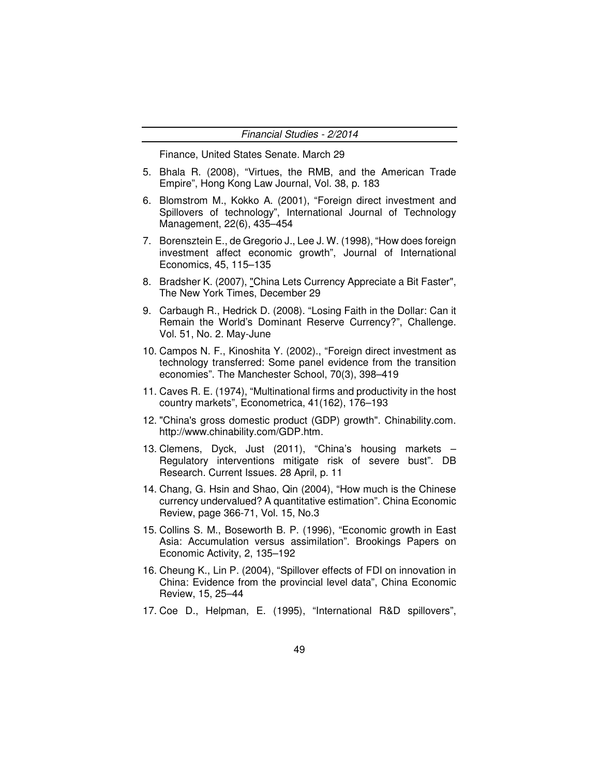Finance, United States Senate. March 29

- 5. Bhala R. (2008), "Virtues, the RMB, and the American Trade Empire", Hong Kong Law Journal, Vol. 38, p. 183
- 6. Blomstrom M., Kokko A. (2001), "Foreign direct investment and Spillovers of technology", International Journal of Technology Management, 22(6), 435–454
- 7. Borensztein E., de Gregorio J., Lee J. W. (1998), "How does foreign investment affect economic growth", Journal of International Economics, 45, 115–135
- 8. Bradsher K. (2007), "China Lets Currency Appreciate a Bit Faster", The New York Times, December 29
- 9. Carbaugh R., Hedrick D. (2008). "Losing Faith in the Dollar: Can it Remain the World's Dominant Reserve Currency?", Challenge. Vol. 51, No. 2. May-June
- 10. Campos N. F., Kinoshita Y. (2002)., "Foreign direct investment as technology transferred: Some panel evidence from the transition economies". The Manchester School, 70(3), 398–419
- 11. Caves R. E. (1974), "Multinational firms and productivity in the host country markets", Econometrica, 41(162), 176–193
- 12. "China's gross domestic product (GDP) growth". Chinability.com. http://www.chinability.com/GDP.htm.
- 13. Clemens, Dyck, Just (2011), "China's housing markets Regulatory interventions mitigate risk of severe bust". DB Research. Current Issues. 28 April, p. 11
- 14. Chang, G. Hsin and Shao, Qin (2004), "How much is the Chinese currency undervalued? A quantitative estimation". China Economic Review, page 366-71, Vol. 15, No.3
- 15. Collins S. M., Boseworth B. P. (1996), "Economic growth in East Asia: Accumulation versus assimilation". Brookings Papers on Economic Activity, 2, 135–192
- 16. Cheung K., Lin P. (2004), "Spillover effects of FDI on innovation in China: Evidence from the provincial level data", China Economic Review, 15, 25–44
- 17. Coe D., Helpman, E. (1995), "International R&D spillovers",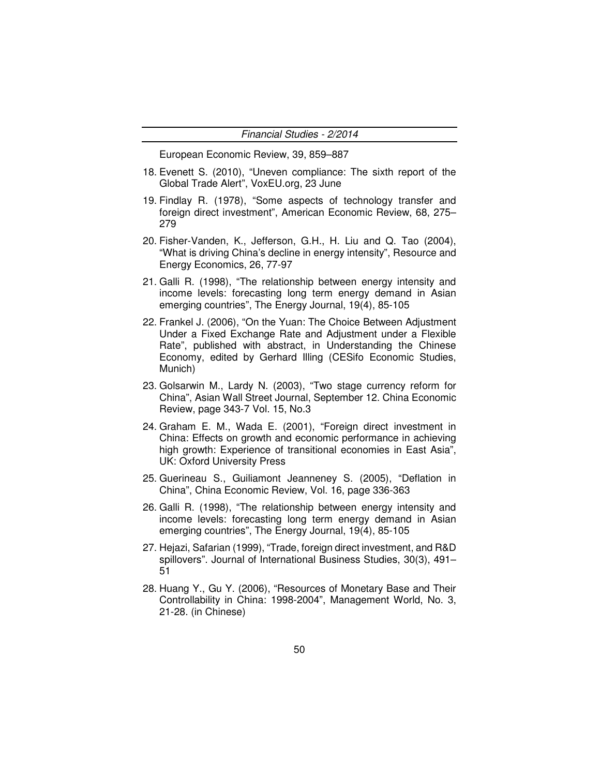European Economic Review, 39, 859–887

- 18. Evenett S. (2010), "Uneven compliance: The sixth report of the Global Trade Alert", VoxEU.org, 23 June
- 19. Findlay R. (1978), "Some aspects of technology transfer and foreign direct investment", American Economic Review, 68, 275– 279
- 20. Fisher-Vanden, K., Jefferson, G.H., H. Liu and Q. Tao (2004), "What is driving China's decline in energy intensity", Resource and Energy Economics, 26, 77-97
- 21. Galli R. (1998), "The relationship between energy intensity and income levels: forecasting long term energy demand in Asian emerging countries", The Energy Journal, 19(4), 85-105
- 22. Frankel J. (2006), "On the Yuan: The Choice Between Adjustment Under a Fixed Exchange Rate and Adjustment under a Flexible Rate", published with abstract, in Understanding the Chinese Economy, edited by Gerhard Illing (CESifo Economic Studies, Munich)
- 23. Golsarwin M., Lardy N. (2003), "Two stage currency reform for China", Asian Wall Street Journal, September 12. China Economic Review, page 343-7 Vol. 15, No.3
- 24. Graham E. M., Wada E. (2001), "Foreign direct investment in China: Effects on growth and economic performance in achieving high growth: Experience of transitional economies in East Asia", UK: Oxford University Press
- 25. Guerineau S., Guiliamont Jeanneney S. (2005), "Deflation in China", China Economic Review, Vol. 16, page 336-363
- 26. Galli R. (1998), "The relationship between energy intensity and income levels: forecasting long term energy demand in Asian emerging countries", The Energy Journal, 19(4), 85-105
- 27. Hejazi, Safarian (1999), "Trade, foreign direct investment, and R&D spillovers". Journal of International Business Studies, 30(3), 491– 51
- 28. Huang Y., Gu Y. (2006), "Resources of Monetary Base and Their Controllability in China: 1998-2004", Management World, No. 3, 21-28. (in Chinese)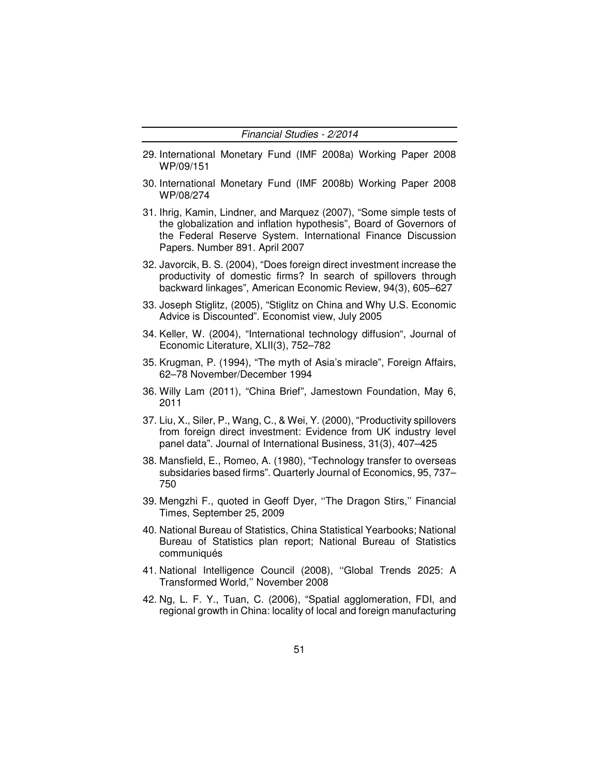- 29. International Monetary Fund (IMF 2008a) Working Paper 2008 WP/09/151
- 30. International Monetary Fund (IMF 2008b) Working Paper 2008 WP/08/274
- 31. Ihrig, Kamin, Lindner, and Marquez (2007), "Some simple tests of the globalization and inflation hypothesis", Board of Governors of the Federal Reserve System. International Finance Discussion Papers. Number 891. April 2007
- 32. Javorcik, B. S. (2004), "Does foreign direct investment increase the productivity of domestic firms? In search of spillovers through backward linkages", American Economic Review, 94(3), 605–627
- 33. Joseph Stiglitz, (2005), "Stiglitz on China and Why U.S. Economic Advice is Discounted". Economist view, July 2005
- 34. Keller, W. (2004), "International technology diffusion", Journal of Economic Literature, XLII(3), 752–782
- 35. Krugman, P. (1994), "The myth of Asia's miracle", Foreign Affairs, 62–78 November/December 1994
- 36. Willy Lam (2011), "China Brief", Jamestown Foundation, May 6, 2011
- 37. Liu, X., Siler, P., Wang, C., & Wei, Y. (2000), "Productivity spillovers from foreign direct investment: Evidence from UK industry level panel data". Journal of International Business, 31(3), 407–425
- 38. Mansfield, E., Romeo, A. (1980), "Technology transfer to overseas subsidaries based firms". Quarterly Journal of Economics, 95, 737– 750
- 39. Mengzhi F., quoted in Geoff Dyer, ''The Dragon Stirs,'' Financial Times, September 25, 2009
- 40. National Bureau of Statistics, China Statistical Yearbooks; National Bureau of Statistics plan report; National Bureau of Statistics communiqués
- 41. National Intelligence Council (2008), ''Global Trends 2025: A Transformed World,'' November 2008
- 42. Ng, L. F. Y., Tuan, C. (2006), "Spatial agglomeration, FDI, and regional growth in China: locality of local and foreign manufacturing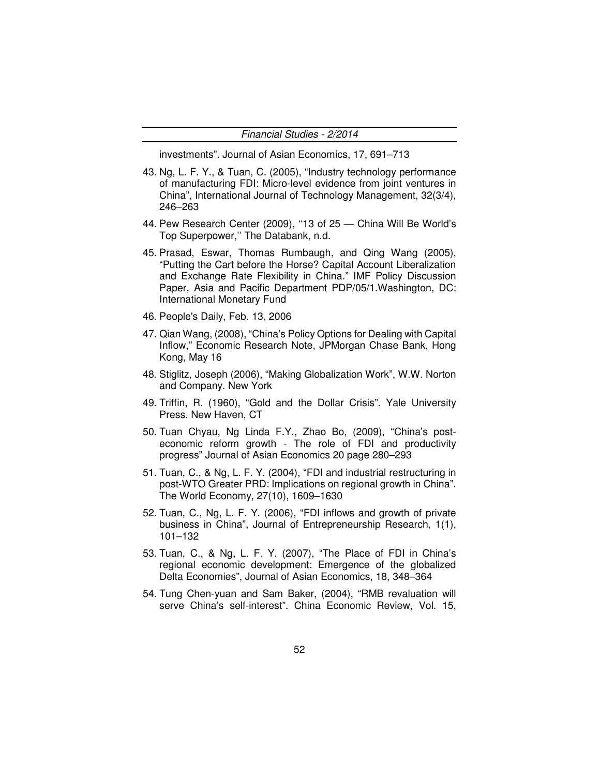Financial Studies - 2/2014

investments". Journal of Asian Economics, 17, 691–713

- 43. Ng, L. F. Y., & Tuan, C. (2005), "Industry technology performance of manufacturing FDI: Micro-level evidence from joint ventures in China", International Journal of Technology Management, 32(3/4), 246–263
- 44. Pew Research Center (2009), ''13 of 25 China Will Be World's Top Superpower,'' The Databank, n.d.
- 45. Prasad, Eswar, Thomas Rumbaugh, and Qing Wang (2005), "Putting the Cart before the Horse? Capital Account Liberalization and Exchange Rate Flexibility in China." IMF Policy Discussion Paper, Asia and Pacific Department PDP/05/1.Washington, DC: International Monetary Fund
- 46. People's Daily, Feb. 13, 2006
- 47. Qian Wang, (2008), "China's Policy Options for Dealing with Capital Inflow," Economic Research Note, JPMorgan Chase Bank, Hong Kong, May 16
- 48. Stiglitz, Joseph (2006), "Making Globalization Work", W.W. Norton and Company. New York
- 49. Triffin, R. (1960), "Gold and the Dollar Crisis". Yale University Press. New Haven, CT
- 50. Tuan Chyau, Ng Linda F.Y., Zhao Bo, (2009), "China's posteconomic reform growth - The role of FDI and productivity progress" Journal of Asian Economics 20 page 280–293
- 51. Tuan, C., & Ng, L. F. Y. (2004), "FDI and industrial restructuring in post-WTO Greater PRD: Implications on regional growth in China". The World Economy, 27(10), 1609–1630
- 52. Tuan, C., Ng, L. F. Y. (2006), "FDI inflows and growth of private business in China", Journal of Entrepreneurship Research, 1(1), 101–132
- 53. Tuan, C., & Ng, L. F. Y. (2007), "The Place of FDI in China's regional economic development: Emergence of the globalized Delta Economies", Journal of Asian Economics, 18, 348–364
- 54. Tung Chen-yuan and Sam Baker, (2004), "RMB revaluation will serve China's self-interest". China Economic Review, Vol. 15,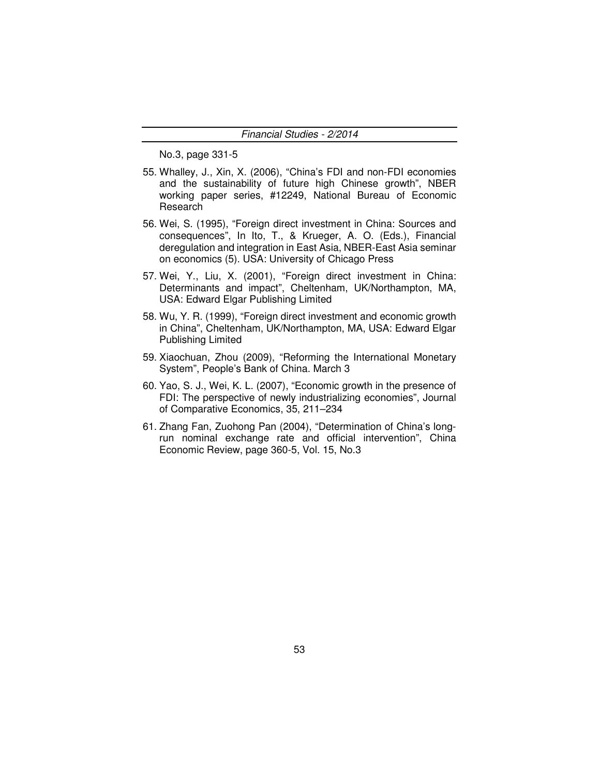No.3, page 331-5

- 55. Whalley, J., Xin, X. (2006), "China's FDI and non-FDI economies and the sustainability of future high Chinese growth", NBER working paper series, #12249, National Bureau of Economic Research
- 56. Wei, S. (1995), "Foreign direct investment in China: Sources and consequences", In Ito, T., & Krueger, A. O. (Eds.), Financial deregulation and integration in East Asia, NBER-East Asia seminar on economics (5). USA: University of Chicago Press
- 57. Wei, Y., Liu, X. (2001), "Foreign direct investment in China: Determinants and impact", Cheltenham, UK/Northampton, MA, USA: Edward Elgar Publishing Limited
- 58. Wu, Y. R. (1999), "Foreign direct investment and economic growth in China", Cheltenham, UK/Northampton, MA, USA: Edward Elgar Publishing Limited
- 59. Xiaochuan, Zhou (2009), "Reforming the International Monetary System", People's Bank of China. March 3
- 60. Yao, S. J., Wei, K. L. (2007), "Economic growth in the presence of FDI: The perspective of newly industrializing economies", Journal of Comparative Economics, 35, 211–234
- 61. Zhang Fan, Zuohong Pan (2004), "Determination of China's longrun nominal exchange rate and official intervention", China Economic Review, page 360-5, Vol. 15, No.3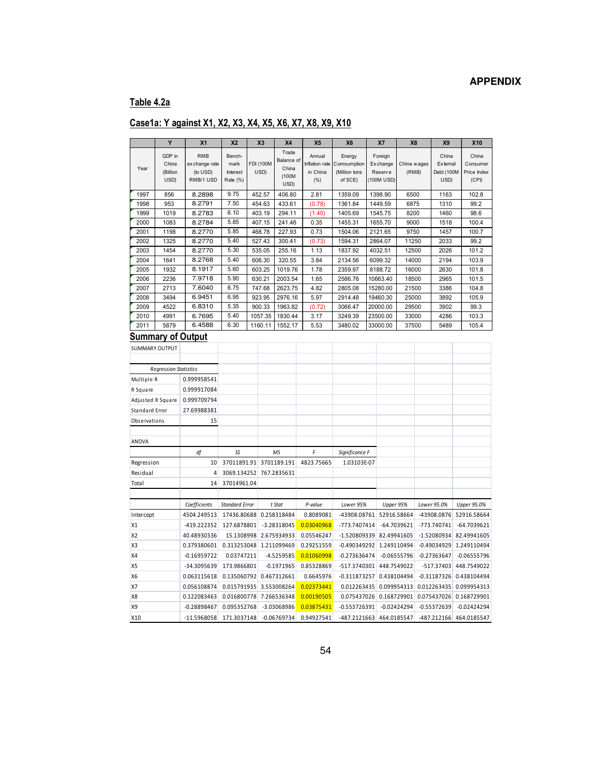### **APPENDIX**

# **Table 4.2a**

|                | Y                            | X <sub>1</sub>             | <b>X2</b>               |        | X <sub>3</sub>           | <b>X4</b>        | X <sub>5</sub>             | X <sub>6</sub>               | X7                                | X <sub>8</sub>       | <b>X9</b>              | X10                       |
|----------------|------------------------------|----------------------------|-------------------------|--------|--------------------------|------------------|----------------------------|------------------------------|-----------------------------------|----------------------|------------------------|---------------------------|
|                |                              |                            |                         |        |                          | Trade            |                            |                              |                                   |                      |                        |                           |
|                | GDP in                       | <b>RMB</b>                 | Bench-                  |        |                          | Balance of       | Annual                     | Energy                       | Foreign                           |                      | China                  | China                     |
| Year           | China<br>(Billion            | ex change rate<br>(to USD) | mark<br>Interest        |        | <b>FDI (100M</b><br>USD) | China            | Inflation rate<br>in China | Comsumption<br>(Million tons | <b>Exchange</b><br><b>Reserve</b> | China wages<br>(RMB) | External<br>Debt (100M | Consumer<br>Price Index   |
|                | USD)                         | RMB/1 USD                  | Rate (%)                |        |                          | (100M            | (% )                       | of SCE)                      | (100M USD)                        |                      | USD)                   | (CPI)                     |
|                |                              |                            |                         |        |                          | USD)             |                            |                              |                                   |                      |                        |                           |
| 1997           | 856                          | 8.2898                     | 9.75                    | 452.57 |                          | 406.80           | 2.81                       | 1359.09                      | 1398.90                           | 6500                 | 1163                   | 102.8                     |
| 1998           | 953                          | 8.2791                     | 7.50                    |        | 454.63                   | 433.61           | (0.78)                     | 1361.84                      | 1449.59                           | 6875                 | 1310                   | 99.2                      |
| 1999<br>2000   | 1019<br>1083                 | 8.2783<br>8.2784           | 6.10<br>5.85            |        | 403.19<br>407.15         | 294.11<br>241.46 | (1.40)<br>0.35             | 1405.69<br>1455.31           | 1545.75<br>1655.70                | 8200<br>9000         | 1460<br>1518           | 98.6<br>100.4             |
| 2001           | 1198                         | 8.2770                     | 5.85                    |        | 468.78                   | 227.93           | 0.73                       | 1504.06                      | 2121.65                           | 9750                 | 1457                   | 100.7                     |
| 2002           | 1325                         | 8.2770                     | 5.40                    |        | 527.43                   | 300.41           | (0.73)                     | 1594.31                      | 2864.07                           | 11250                | 2033                   | 99.2                      |
| 2003           | 1454                         | 8.2770                     | 5.30                    |        | 535.05                   | 255.16           | 1.13                       | 1837.92                      | 4032.51                           | 12500                | 2026                   | 101.2                     |
| 2004           | 1641                         | 8.2768                     | 5.40                    |        | 606.30                   | 320.55           | 3.84                       | 2134.56                      | 6099.32                           | 14000                | 2194                   | 103.9                     |
| 2005           | 1932                         | 8.1917                     | 5.60                    |        | 603.25                   | 1019.76          | 1.78                       | 2359.97                      | 8188.72                           | 16000                | 2630                   | 101.8                     |
| 2006           | 2236                         | 7.9718                     | 5.90                    |        | 630.21                   | 2003.54          | 1.65                       | 2586.76                      | 10663.40                          | 18500                | 2965                   | 101.5                     |
| 2007           | 2713                         | 7.6040                     | 6.75                    |        | 747.68                   | 2623.75          | 4.82                       | 2805.08                      | 15280.00                          | 21500                | 3386                   | 104.8                     |
| 2008           | 3494                         | 6.9451                     | 6.95                    |        | 923.95                   | 2976.16          | 5.97                       | 2914.48                      | 19460.30                          | 25000                | 3892                   | 105.9                     |
| 2009           | 4522                         | 6.8310                     | 5.35                    |        | 900.33                   | 1963.82          | (0.72)                     | 3066.47                      | 20000.00                          | 29500                | 3902                   | 99.3                      |
| 2010           | 4991                         | 6.7695                     | 5.40                    |        | 1057.35                  | 1830.44          | 3.17                       | 3249.39                      | 23500.00                          | 33000                | 4286                   | 103.3                     |
| 2011           | 5879                         | 6.4588                     | 6.30                    |        | 1160.11                  | 1552.17          | 5.53                       | 3480.02                      | 33000.00                          | 37500                | 5489                   | 105.4                     |
|                |                              | Summary of Output          |                         |        |                          |                  |                            |                              |                                   |                      |                        |                           |
|                | <b>SUMMARY OUTPUT</b>        |                            |                         |        |                          |                  |                            |                              |                                   |                      |                        |                           |
|                |                              |                            |                         |        |                          |                  |                            |                              |                                   |                      |                        |                           |
|                | <b>Regression Statistics</b> |                            |                         |        |                          |                  |                            |                              |                                   |                      |                        |                           |
| Multiple R     |                              | 0.999958541                |                         |        |                          |                  |                            |                              |                                   |                      |                        |                           |
|                |                              |                            |                         |        |                          |                  |                            |                              |                                   |                      |                        |                           |
| R Square       |                              | 0.999917084                |                         |        |                          |                  |                            |                              |                                   |                      |                        |                           |
|                | Adjusted R Square            | 0.999709794                |                         |        |                          |                  |                            |                              |                                   |                      |                        |                           |
| Standard Error |                              | 27.69988381                |                         |        |                          |                  |                            |                              |                                   |                      |                        |                           |
| Observations   |                              | 15                         |                         |        |                          |                  |                            |                              |                                   |                      |                        |                           |
|                |                              |                            |                         |        |                          |                  |                            |                              |                                   |                      |                        |                           |
| ANOVA          |                              |                            |                         |        |                          |                  |                            |                              |                                   |                      |                        |                           |
|                |                              | df                         | SS                      |        |                          | MS               | F                          | Significance F               |                                   |                      |                        |                           |
| Regression     |                              | 10                         | 37011891.91             |        |                          | 3701189.191      | 4823.75665                 | 1.03103E-07                  |                                   |                      |                        |                           |
| Residual       |                              | 4                          | 3069.134252             |        |                          | 767.2835631      |                            |                              |                                   |                      |                        |                           |
| Total          |                              | 14                         | 37014961.04             |        |                          |                  |                            |                              |                                   |                      |                        |                           |
|                |                              |                            |                         |        |                          |                  |                            |                              |                                   |                      |                        |                           |
|                |                              | Coefficients               | <b>Standard Error</b>   |        |                          | t Stat           | P-value                    | Lower 95%                    | Upper 95%                         |                      | Lower 95.0%            | Upper 95.0%               |
| Intercept      |                              | 4504.249513                | 17436.80688             |        |                          | 0.258318484      | 0.8089081                  | -43908.08761                 | 52916.58664                       |                      | -43908.0876            | 52916.58664               |
| X1             |                              | -419.222352                | 127.6878801             |        |                          | $-3.28318045$    | 0.03040968                 | -773.7407414                 |                                   | $-64.7039621$        | -773.740741            | -64.7039621               |
| <b>X2</b>      |                              | 40.48930336                | 15.1308998              |        |                          | 2.675934933      | 0.05546247                 | $-1.520809339$ 82.49941605   |                                   |                      | $-1.52080934$          | 82.49941605               |
| X <sub>3</sub> |                              | 0.379380601                | 0.313253048             |        |                          | 1.211099469      | 0.29251559                 | -0.490349292 1.249110494     |                                   |                      | $-0.49034929$          | 1.249110494               |
| X4             |                              | $-0.16959722$              | 0.03747211              |        |                          | -4.5259585       | 0.01060998                 | $-0.273636474$               |                                   | $-0.06555796$        | $-0.27363647$          | $-0.06555796$             |
| X <sub>5</sub> |                              | -34.3095639                | 173.9866801             |        |                          | $-0.1971965$     | 0.85328869                 | -517.3740301                 | 448.7549022                       |                      | $-517.37403$           | 448.7549022               |
| <b>X6</b>      |                              | 0.063115618                | 0.135060792 0.467312661 |        |                          |                  | 0.6645976                  | $-0.311873257$               | 0.438104494                       |                      |                        | $-0.31187326$ 0.438104494 |
| <b>X7</b>      |                              | 0.056108874                | 0.015791935             |        |                          | 3.553008264      | 0.02373441                 | 0.012263435                  | 0.099954313                       |                      | 0.012263435            | 0.099954313               |
| X <sub>8</sub> |                              | 0.122083463                | 0.016800778             |        |                          | 7.266536348      | 0.00190505                 | 0.075437026 0.168729901      |                                   |                      | 0.075437026            | 0.168729901               |
| <b>X9</b>      |                              | $-0.28898467$              | 0.095352768             |        |                          | -3.03068986      | 0.03875431                 | $-0.553726391$               |                                   | $-0.02424294$        | $-0.55372639$          | $-0.02424294$             |
|                |                              |                            |                         |        |                          |                  |                            |                              |                                   |                      |                        |                           |
| X10            |                              | $-11.5968058$              | 171.3037148             |        |                          | $-0.06769734$    | 0.94927541                 | $-487.2121663$               | 464.0185547                       |                      | $-487.212166$          | 464.0185547               |

# **Case1a: Y against X1, X2, X3, X4, X5, X6, X7, X8, X9, X10**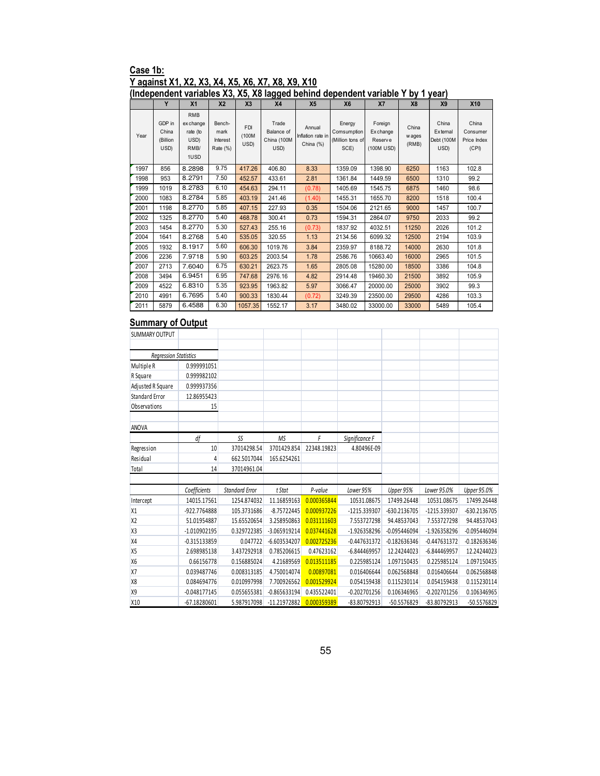### **Case 1b: Y against X1, X2, X3, X4, X5, X6, X7, X8, X9, X10**

#### **(Independent variables X3, X5, X8 lagged behind dependent variable Y by 1 year)**

| ,    |                                     |                                                             |                                        |                             | $\frac{1}{2}$                              |                                          |                                                   |                                                            |                          | .                                       |                                           |
|------|-------------------------------------|-------------------------------------------------------------|----------------------------------------|-----------------------------|--------------------------------------------|------------------------------------------|---------------------------------------------------|------------------------------------------------------------|--------------------------|-----------------------------------------|-------------------------------------------|
|      | Y                                   | X <sub>1</sub>                                              | X <sub>2</sub>                         | X <sub>3</sub>              | X <sub>4</sub>                             | X <sub>5</sub>                           | <b>X6</b>                                         | X7                                                         | <b>X8</b>                | X <sub>9</sub>                          | <b>X10</b>                                |
| Year | GDP in<br>China<br>(Billion<br>USD) | <b>RMB</b><br>ex change<br>rate (to<br>USD)<br>RMB/<br>1USD | Bench-<br>mark<br>Interest<br>Rate (%) | <b>FDI</b><br>(100M<br>USD) | Trade<br>Balance of<br>China (100M<br>USD) | Annual<br>Inflation rate in<br>China (%) | Energy<br>Comsumption<br>(Million tons of<br>SCE) | Foreign<br><b>Exchange</b><br><b>Reserve</b><br>(100M USD) | China<br>w ages<br>(RMB) | China<br>External<br>Debt (100M<br>USD) | China<br>Consumer<br>Price Index<br>(CPI) |
| 1997 | 856                                 | 8.2898                                                      | 9.75                                   | 417.26                      | 406.80                                     | 8.33                                     | 1359.09                                           | 1398.90                                                    | 6250                     | 1163                                    | 102.8                                     |
| 1998 | 953                                 | 8.2791                                                      | 7.50                                   | 452.57                      | 433.61                                     | 2.81                                     | 1361.84                                           | 1449.59                                                    | 6500                     | 1310                                    | 99.2                                      |
| 1999 | 1019                                | 8.2783                                                      | 6.10                                   | 454.63                      | 294.11                                     | (0.78)                                   | 1405.69                                           | 1545.75                                                    | 6875                     | 1460                                    | 98.6                                      |
| 2000 | 1083                                | 8.2784                                                      | 5.85                                   | 403.19                      | 241.46                                     | (1.40)                                   | 1455.31                                           | 1655.70                                                    | 8200                     | 1518                                    | 100.4                                     |
| 2001 | 1198                                | 8.2770                                                      | 5.85                                   | 407.15                      | 227.93                                     | 0.35                                     | 1504.06                                           | 2121.65                                                    | 9000                     | 1457                                    | 100.7                                     |
| 2002 | 1325                                | 8.2770                                                      | 5.40                                   | 468.78                      | 300.41                                     | 0.73                                     | 1594.31                                           | 2864.07                                                    | 9750                     | 2033                                    | 99.2                                      |
| 2003 | 1454                                | 8.2770                                                      | 5.30                                   | 527.43                      | 255.16                                     | (0.73)                                   | 1837.92                                           | 4032.51                                                    | 11250                    | 2026                                    | 101.2                                     |
| 2004 | 1641                                | 8.2768                                                      | 5.40                                   | 535.05                      | 320.55                                     | 1.13                                     | 2134.56                                           | 6099.32                                                    | 12500                    | 2194                                    | 103.9                                     |
| 2005 | 1932                                | 8.1917                                                      | 5.60                                   | 606.30                      | 1019.76                                    | 3.84                                     | 2359.97                                           | 8188.72                                                    | 14000                    | 2630                                    | 101.8                                     |
| 2006 | 2236                                | 7.9718                                                      | 5.90                                   | 603.25                      | 2003.54                                    | 1.78                                     | 2586.76                                           | 10663.40                                                   | 16000                    | 2965                                    | 101.5                                     |
| 2007 | 2713                                | 7.6040                                                      | 6.75                                   | 630.21                      | 2623.75                                    | 1.65                                     | 2805.08                                           | 15280.00                                                   | 18500                    | 3386                                    | 104.8                                     |
| 2008 | 3494                                | 6.9451                                                      | 6.95                                   | 747.68                      | 2976.16                                    | 4.82                                     | 2914.48                                           | 19460.30                                                   | 21500                    | 3892                                    | 105.9                                     |
| 2009 | 4522                                | 6.8310                                                      | 5.35                                   | 923.95                      | 1963.82                                    | 5.97                                     | 3066.47                                           | 20000.00                                                   | 25000                    | 3902                                    | 99.3                                      |
| 2010 | 4991                                | 6.7695                                                      | 5.40                                   | 900.33                      | 1830.44                                    | (0.72)                                   | 3249.39                                           | 23500.00                                                   | 29500                    | 4286                                    | 103.3                                     |
| 2011 | 5879                                | 6.4588                                                      | 6.30                                   | 1057.35                     | 1552.17                                    | 3.17                                     | 3480.02                                           | 33000.00                                                   | 33000                    | 5489                                    | 105.4                                     |

| <b>SUMMARY OUTPUT</b>        |                |                       |                |             |                |                |                |                    |
|------------------------------|----------------|-----------------------|----------------|-------------|----------------|----------------|----------------|--------------------|
|                              |                |                       |                |             |                |                |                |                    |
| <b>Regression Statistics</b> |                |                       |                |             |                |                |                |                    |
| Multiple R                   | 0.999991051    |                       |                |             |                |                |                |                    |
| R Square                     | 0.999982102    |                       |                |             |                |                |                |                    |
| Adjusted R Square            | 0.999937356    |                       |                |             |                |                |                |                    |
| Standard Error               | 12.86955423    |                       |                |             |                |                |                |                    |
| Observations                 | 15             |                       |                |             |                |                |                |                    |
|                              |                |                       |                |             |                |                |                |                    |
| <b>ANOVA</b>                 |                |                       |                |             |                |                |                |                    |
|                              | df             | SS                    | <b>MS</b>      | F           | Significance F |                |                |                    |
| Regression                   | 10             | 37014298.54           | 3701429.854    | 22348.19823 | 4.80496E-09    |                |                |                    |
| Residual                     | 4              | 662.5017044           | 165.6254261    |             |                |                |                |                    |
| Total                        | 14             | 37014961.04           |                |             |                |                |                |                    |
|                              |                |                       |                |             |                |                |                |                    |
|                              | Coefficients   | <b>Standard Error</b> | t Stat         | P-value     | Lower 95%      | Upper 95%      | Lower 95.0%    | <b>Upper 95.0%</b> |
| Intercept                    | 14015.17561    | 1254.874032           | 11.16859163    | 0.000365844 | 10531.08675    | 17499.26448    | 10531.08675    | 17499.26448        |
| X1                           | -922.7764888   | 105.3731686           | $-8.75722445$  | 0.000937226 | -1215.339307   | -630.2136705   | -1215.339307   | -630.2136705       |
| <b>X2</b>                    | 51.01954887    | 15.65520654           | 3.258950863    | 0.031111603 | 7.553727298    | 94.48537043    | 7.553727298    | 94.48537043        |
| X <sub>3</sub>               | $-1.010902195$ | 0.329722385           | -3.065919214   | 0.037441628 | -1.926358296   | $-0.095446094$ | -1.926358296   | $-0.095446094$     |
| X4                           | $-0.315133859$ | 0.047722              | $-6.603534207$ | 0.002725236 | $-0.447631372$ | $-0.182636346$ | $-0.447631372$ | $-0.182636346$     |
| X <sub>5</sub>               | 2.698985138    | 3.437292918           | 0.785206615    | 0.47623162  | $-6.844469957$ | 12.24244023    | $-6.844469957$ | 12.24244023        |
| <b>X6</b>                    | 0.66156778     | 0.156885024           | 4.21689569     | 0.013511185 | 0.225985124    | 1.097150435    | 0.225985124    | 1.097150435        |
| X7                           | 0.039487746    | 0.008313185           | 4.750014074    | 0.00897081  | 0.016406644    | 0.062568848    | 0.016406644    | 0.062568848        |
| <b>X8</b>                    | 0.084694776    | 0.010997998           | 7.700926562    | 0.001529924 | 0.054159438    | 0.115230114    | 0.054159438    | 0.115230114        |
| <b>X9</b>                    | $-0.048177145$ | 0.055655381           | $-0.865633194$ | 0.435522401 | $-0.202701256$ | 0.106346965    | $-0.202701256$ | 0.106346965        |
| X10                          | $-67.18280601$ | 5.987917098           | -11.21972882   | 0.000359389 | -83.80792913   | -50.5576829    | -83.80792913   | -50.5576829        |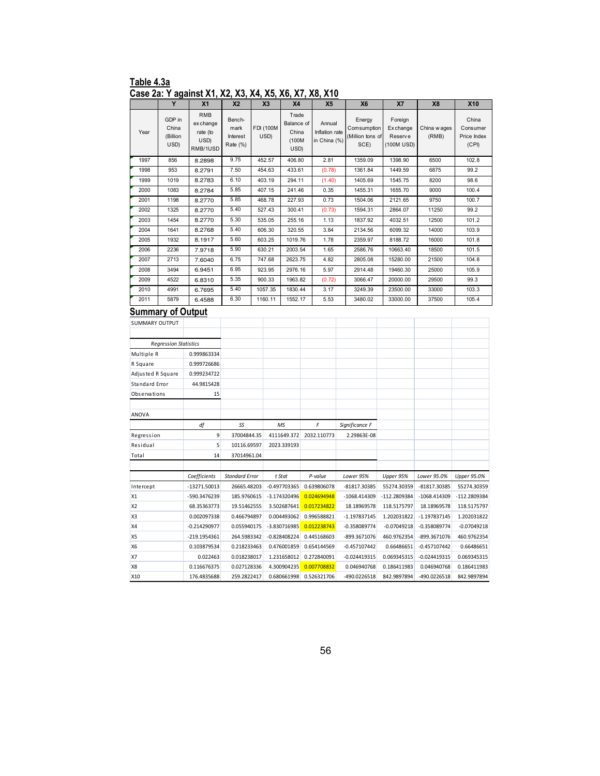#### **Table 4.3a Case 2a: Y against X1, X2, X3, X4, X5, X6, X7, X8, X10**

|                       | Y                                   | X <sub>1</sub>                                          | X <sub>2</sub>                         | X <sub>3</sub>           | <b>X4</b>                                     | X <sub>5</sub>                           | X <sub>6</sub>                                    | X7                                            | X <sub>8</sub>        | <b>X10</b>                                |
|-----------------------|-------------------------------------|---------------------------------------------------------|----------------------------------------|--------------------------|-----------------------------------------------|------------------------------------------|---------------------------------------------------|-----------------------------------------------|-----------------------|-------------------------------------------|
| Year                  | GDP in<br>China<br>(Billion<br>USD) | <b>RMB</b><br>ex change<br>rate (to<br>USD)<br>RMB/1USD | Bench-<br>mark<br>Interest<br>Rate (%) | <b>FDI (100M</b><br>USD) | Trade<br>Balance of<br>China<br>(100M<br>USD) | Annual<br>Inflation rate<br>in China (%) | Energy<br>Comsumption<br>(Million tons of<br>SCE) | Foreign<br>Ex change<br>Reserve<br>(100M USD) | China w ages<br>(RMB) | China<br>Consumer<br>Price Index<br>(CPI) |
| 1997                  | 856                                 | 8.2898                                                  | 9.75                                   | 452.57                   | 406.80                                        | 2.81                                     | 1359.09                                           | 1398.90                                       | 6500                  | 102.8                                     |
| 1998                  | 953                                 | 8.2791                                                  | 7.50                                   | 454.63                   | 433.61                                        | (0.78)                                   | 1361.84                                           | 1449.59                                       | 6875                  | 99.2                                      |
| 1999                  | 1019                                | 8.2783                                                  | 6.10                                   | 403.19                   | 294.11                                        | (1.40)                                   | 1405.69                                           | 1545.75                                       | 8200                  | 98.6                                      |
| 2000                  | 1083                                | 8.2784                                                  | 5.85                                   | 407.15                   | 241.46                                        | 0.35                                     | 1455.31                                           | 1655.70                                       | 9000                  | 100.4                                     |
| 2001                  | 1198                                | 8.2770                                                  | 5.85                                   | 468.78                   | 227.93                                        | 0.73                                     | 1504.06                                           | 2121.65                                       | 9750                  | 100.7                                     |
| 2002                  | 1325                                | 8.2770                                                  | 5.40                                   | 527.43                   | 300.41                                        | (0.73)                                   | 1594.31                                           | 2864.07                                       | 11250                 | 99.2                                      |
| 2003                  | 1454                                | 8.2770                                                  | 5.30                                   | 535.05                   | 255.16                                        | 1.13                                     | 1837.92                                           | 4032.51                                       | 12500                 | 101.2                                     |
| 2004                  | 1641                                | 8.2768                                                  | 5.40                                   | 606.30                   | 320.55                                        | 3.84                                     | 2134.56                                           | 6099.32                                       | 14000                 | 103.9                                     |
| 2005<br>2006          | 1932<br>2236                        | 8.1917                                                  | 5.60<br>5.90                           | 603.25                   | 1019.76                                       | 1.78                                     | 2359.97                                           | 8188.72                                       | 16000                 | 101.8<br>101.5                            |
| 2007                  | 2713                                | 7.9718<br>7.6040                                        | 6.75                                   | 630.21<br>747.68         | 2003.54<br>2623.75                            | 1.65<br>4.82                             | 2586.76<br>2805.08                                | 10663.40<br>15280.00                          | 18500<br>21500        | 104.8                                     |
| 2008                  | 3494                                | 6.9451                                                  | 6.95                                   | 923.95                   | 2976.16                                       | 5.97                                     | 2914.48                                           | 19460.30                                      | 25000                 | 105.9                                     |
| 2009                  | 4522                                | 6.8310                                                  | 5.35                                   | 900.33                   | 1963.82                                       | (0.72)                                   | 3066.47                                           | 20000.00                                      | 29500                 | 99.3                                      |
| 2010                  | 4991                                | 6.7695                                                  | 5.40                                   | 1057.35                  | 1830.44                                       | 3.17                                     | 3249.39                                           | 23500.00                                      | 33000                 | 103.3                                     |
| 2011                  | 5879                                | 6.4588                                                  | 6.30                                   | 1160.11                  | 1552.17                                       | 5.53                                     | 3480.02                                           | 33000.00                                      | 37500                 | 105.4                                     |
|                       | <b>Summary of Output</b>            |                                                         |                                        |                          |                                               |                                          |                                                   |                                               |                       |                                           |
| <b>SUMMARY OUTPUT</b> |                                     |                                                         |                                        |                          |                                               |                                          |                                                   |                                               |                       |                                           |
|                       |                                     |                                                         |                                        |                          |                                               |                                          |                                                   |                                               |                       |                                           |
|                       | <b>Regression Statistics</b>        |                                                         |                                        |                          |                                               |                                          |                                                   |                                               |                       |                                           |
| Multiple R            |                                     | 0.999863334                                             |                                        |                          |                                               |                                          |                                                   |                                               |                       |                                           |
| R Square              |                                     | 0.999726686                                             |                                        |                          |                                               |                                          |                                                   |                                               |                       |                                           |
| Adjusted R Square     |                                     | 0.999234722                                             |                                        |                          |                                               |                                          |                                                   |                                               |                       |                                           |
| Standard Error        |                                     | 44.9815428                                              |                                        |                          |                                               |                                          |                                                   |                                               |                       |                                           |
| Observations          |                                     | 15                                                      |                                        |                          |                                               |                                          |                                                   |                                               |                       |                                           |
|                       |                                     |                                                         |                                        |                          |                                               |                                          |                                                   |                                               |                       |                                           |
| ANOVA                 |                                     |                                                         |                                        |                          |                                               |                                          |                                                   |                                               |                       |                                           |
|                       |                                     | df                                                      | SS                                     |                          | MS                                            | F                                        | Significance F                                    |                                               |                       |                                           |
| Regression            |                                     | 9                                                       | 37004844.35                            |                          | 4111649.372                                   | 2032.110773                              | 2.29863E-08                                       |                                               |                       |                                           |
| Residual              |                                     | 5                                                       | 10116.69597                            |                          | 2023.339193                                   |                                          |                                                   |                                               |                       |                                           |
| Total                 |                                     | 14                                                      | 37014961.04                            |                          |                                               |                                          |                                                   |                                               |                       |                                           |
|                       |                                     |                                                         |                                        |                          |                                               |                                          |                                                   |                                               |                       |                                           |
|                       |                                     | Coefficients                                            | <b>Standard Error</b>                  |                          | t Stat                                        | P-value                                  | Lower 95%                                         | Upper 95%                                     | Lower 95.0%           | Upper 95.0%                               |
| Intercept             |                                     | -13271.50013                                            | 26665.48203                            |                          | $-0.497703365$                                | 0.639806078                              | -81817.30385                                      | 55274.30359                                   | -81817.30385          | 55274.30359                               |
| X1                    |                                     | -590.3476239                                            | 185.9760615                            |                          | -3.174320496                                  | 0.024694948                              | $-1068.414309$                                    | -112.2809384                                  | -1068.414309          | $-112.2809384$                            |
| X <sub>2</sub>        |                                     | 68.35363773                                             | 19.51462555                            |                          | 3.502687641                                   | 0.017234822                              | 18.18969578                                       | 118.5175797                                   | 18.18969578           | 118.5175797                               |
| X3                    |                                     | 0.002097338                                             | 0.466794897                            |                          | 0.004493062                                   | 0.996588821                              | $-1.197837145$                                    | 1.202031822                                   | $-1.197837145$        | 1.202031822                               |
| X4                    |                                     | $-0.214290977$                                          | 0.055940175                            |                          | -3.830716985                                  | 0.012238743                              | $-0.358089774$                                    | $-0.07049218$                                 | $-0.358089774$        | $-0.07049218$                             |
| X5                    |                                     | -219.1954361                                            | 264.5983342                            |                          | $-0.828408224$                                | 0.445168603                              | -899.3671076                                      | 460.9762354                                   | -899.3671076          | 460.9762354                               |
| <b>X6</b>             |                                     | 0.103879534                                             | 0.218233463                            |                          | 0.476001859                                   | 0.654144569                              | $-0.457107442$                                    | 0.66486651                                    | $-0.457107442$        | 0.66486651                                |
| X7                    |                                     | 0.022463                                                | 0.018238017                            |                          | 1.231658012                                   | 0.272840091                              | $-0.024419315$                                    | 0.069345315                                   | $-0.024419315$        | 0.069345315                               |
| X8                    |                                     | 0.116676375                                             | 0.027128336                            |                          | 4.300904235                                   | 0.007708832                              | 0.046940768                                       | 0.186411983                                   | 0.046940768           | 0.186411983                               |
| X10                   |                                     | 176.4835688                                             | 259.2822417                            |                          | 0.680661998                                   | 0.526321706                              | -490.0226518                                      | 842.9897894                                   | -490.0226518          | 842.9897894                               |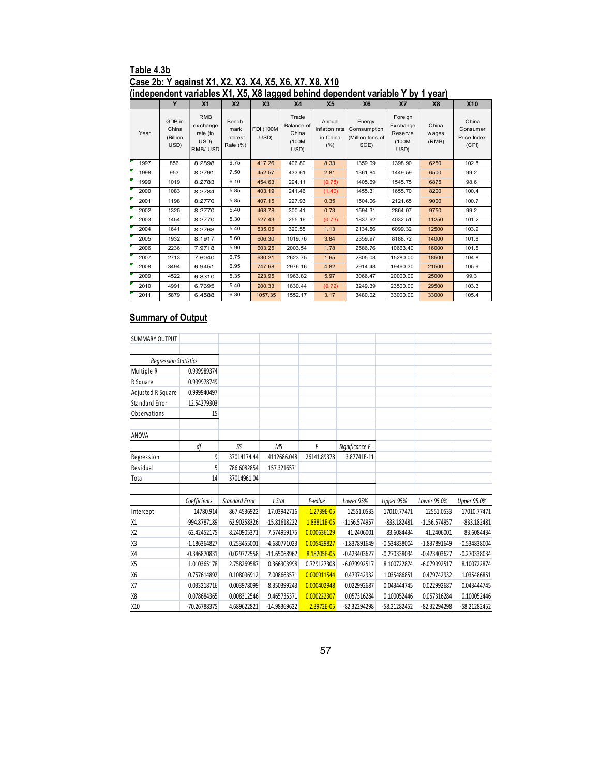### **Table 4.3b Case 2b: Y against X1, X2, X3, X4, X5, X6, X7, X8, X10**

|      | (independent variables X1, X5, X8 lagged behind dependent variable Y by 1 year) |                                                        |                                        |                           |                                               |                                              |                                                   |                                                  |                          |                                           |  |  |  |
|------|---------------------------------------------------------------------------------|--------------------------------------------------------|----------------------------------------|---------------------------|-----------------------------------------------|----------------------------------------------|---------------------------------------------------|--------------------------------------------------|--------------------------|-------------------------------------------|--|--|--|
|      | Y                                                                               | X <sub>1</sub>                                         | X <sub>2</sub>                         | X <sub>3</sub>            | X <sub>4</sub>                                | X <sub>5</sub>                               | <b>X6</b>                                         | X7                                               | <b>X8</b>                | <b>X10</b>                                |  |  |  |
| Year | GDP in<br>China<br>(Billion<br>USD)                                             | <b>RMB</b><br>ex change<br>rate (to<br>USD)<br>RMB/USD | Bench-<br>mark<br>Interest<br>Rate (%) | <b>FDI (100M)</b><br>USD) | Trade<br>Balance of<br>China<br>(100M<br>USD) | Annual<br>Inflation rate<br>in China<br>(% ) | Energy<br>Comsumption<br>(Million tons of<br>SCE) | Foreign<br>Exchange<br>Reserve<br>(100M)<br>USD) | China<br>w ages<br>(RMB) | China<br>Consumer<br>Price Index<br>(CPI) |  |  |  |
| 1997 | 856                                                                             | 8.2898                                                 | 9.75                                   | 417.26                    | 406.80                                        | 8.33                                         | 1359.09                                           | 1398.90                                          | 6250                     | 102.8                                     |  |  |  |
| 1998 | 953                                                                             | 8.2791                                                 | 7.50                                   | 452.57                    | 433.61                                        | 2.81                                         | 1361.84                                           | 1449.59                                          | 6500                     | 99.2                                      |  |  |  |
| 1999 | 1019                                                                            | 8.2783                                                 | 6.10                                   | 454.63                    | 294.11                                        | (0.78)                                       | 1405.69                                           | 1545.75                                          | 6875                     | 98.6                                      |  |  |  |
| 2000 | 1083                                                                            | 8.2784                                                 | 5.85                                   | 403.19                    | 241.46                                        | (1.40)                                       | 1455.31                                           | 1655.70                                          | 8200                     | 100.4                                     |  |  |  |
| 2001 | 1198                                                                            | 8.2770                                                 | 5.85                                   | 407.15                    | 227.93                                        | 0.35                                         | 1504.06                                           | 2121.65                                          | 9000                     | 100.7                                     |  |  |  |
| 2002 | 1325                                                                            | 8.2770                                                 | 5.40                                   | 468.78                    | 300.41                                        | 0.73                                         | 1594.31                                           | 2864.07                                          | 9750                     | 99.2                                      |  |  |  |
| 2003 | 1454                                                                            | 8.2770                                                 | 5.30                                   | 527.43                    | 255.16                                        | (0.73)                                       | 1837.92                                           | 4032.51                                          | 11250                    | 101.2                                     |  |  |  |
| 2004 | 1641                                                                            | 8.2768                                                 | 5.40                                   | 535.05                    | 320.55                                        | 1.13                                         | 2134.56                                           | 6099.32                                          | 12500                    | 103.9                                     |  |  |  |
| 2005 | 1932                                                                            | 8.1917                                                 | 5.60                                   | 606.30                    | 1019.76                                       | 3.84                                         | 2359.97                                           | 8188.72                                          | 14000                    | 101.8                                     |  |  |  |
| 2006 | 2236                                                                            | 7.9718                                                 | 5.90                                   | 603.25                    | 2003.54                                       | 1.78                                         | 2586.76                                           | 10663.40                                         | 16000                    | 101.5                                     |  |  |  |
| 2007 | 2713                                                                            | 7.6040                                                 | 6.75                                   | 630.21                    | 2623.75                                       | 1.65                                         | 2805.08                                           | 15280.00                                         | 18500                    | 104.8                                     |  |  |  |
| 2008 | 3494                                                                            | 6.9451                                                 | 6.95                                   | 747.68                    | 2976.16                                       | 4.82                                         | 2914.48                                           | 19460.30                                         | 21500                    | 105.9                                     |  |  |  |
| 2009 | 4522                                                                            | 6.8310                                                 | 5.35                                   | 923.95                    | 1963.82                                       | 5.97                                         | 3066.47                                           | 20000.00                                         | 25000                    | 99.3                                      |  |  |  |
| 2010 | 4991                                                                            | 6.7695                                                 | 5.40                                   | 900.33                    | 1830.44                                       | (0.72)                                       | 3249.39                                           | 23500.00                                         | 29500                    | 103.3                                     |  |  |  |
| 2011 | 5879                                                                            | 6.4588                                                 | 6.30                                   | 1057.35                   | 1552.17                                       | 3.17                                         | 3480.02                                           | 33000.00                                         | 33000                    | 105.4                                     |  |  |  |

| <b>SUMMARY OUTPUT</b>        |                |                       |                |             |                |                |                |                |
|------------------------------|----------------|-----------------------|----------------|-------------|----------------|----------------|----------------|----------------|
|                              |                |                       |                |             |                |                |                |                |
| <b>Regression Statistics</b> |                |                       |                |             |                |                |                |                |
| Multiple R                   | 0.999989374    |                       |                |             |                |                |                |                |
| R Square                     | 0.999978749    |                       |                |             |                |                |                |                |
| Adjusted R Square            | 0.999940497    |                       |                |             |                |                |                |                |
| Standard Error               | 12.54279303    |                       |                |             |                |                |                |                |
| Observations                 | 15             |                       |                |             |                |                |                |                |
| <b>ANOVA</b>                 |                |                       |                |             |                |                |                |                |
|                              | df             | SS                    | MS             | F           | Significance F |                |                |                |
| Regression                   | 9              | 37014174.44           | 4112686.048    | 26141.89378 | 3.87741E-11    |                |                |                |
| Residual                     | 5              | 786.6082854           | 157.3216571    |             |                |                |                |                |
| Total                        | 14             | 37014961.04           |                |             |                |                |                |                |
|                              |                |                       |                |             |                |                |                |                |
|                              | Coefficients   | <b>Standard Error</b> | t Stat         | P-value     | Lower 95%      | Upper 95%      | Lower 95.0%    | Upper 95.0%    |
| Intercept                    | 14780.914      | 867.4536922           | 17.03942716    | 1.2739E-05  | 12551.0533     | 17010.77471    | 12551.0533     | 17010.77471    |
| X1                           | -994.8787189   | 62.90258326           | $-15.81618222$ | 1.83811E-05 | -1156.574957   | $-833.182481$  | -1156.574957   | -833.182481    |
| X <sub>2</sub>               | 62.42452175    | 8.240905371           | 7.574959175    | 0.000636129 | 41.2406001     | 83.6084434     | 41.2406001     | 83.6084434     |
| X <sub>3</sub>               | -1.186364827   | 0.253455001           | -4.680771023   | 0.005429827 | -1.837891649   | $-0.534838004$ | -1.837891649   | $-0.534838004$ |
| X4                           | $-0.346870831$ | 0.029772558           | -11.65068962   | 8.18205E-05 | $-0.423403627$ | -0.270338034   | $-0.423403627$ | $-0.270338034$ |
| X <sub>5</sub>               | 1.010365178    | 2.758269587           | 0.366303998    | 0.729127308 | -6.079992517   | 8.100722874    | -6.079992517   | 8.100722874    |
| <b>X6</b>                    | 0.757614892    | 0.108096912           | 7.008663571    | 0.000911544 | 0.479742932    | 1.035486851    | 0.479742932    | 1.035486851    |
| X7                           | 0.033218716    | 0.003978099           | 8.350399243    | 0.000402948 | 0.022992687    | 0.043444745    | 0.022992687    | 0.043444745    |
| X <sub>8</sub>               | 0.078684365    | 0.008312546           | 9.465735371    | 0.000222307 | 0.057316284    | 0.100052446    | 0.057316284    | 0.100052446    |
| X10                          | -70.26788375   | 4.689622821           | -14.98369622   | 2.3972E-05  | -82.32294298   | -58.21282452   | -82.32294298   | -58.21282452   |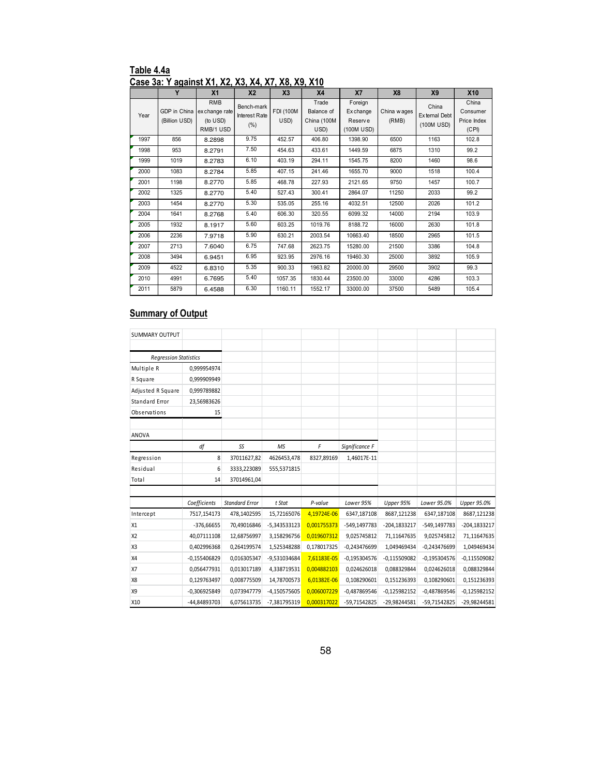#### **Table 4.4a Case 3a: Y against X1, X2, X3, X4, X7, X8, X9, X10**

|      | Y                             | X <sub>1</sub>                                        | X <sub>2</sub>                      | X <sub>3</sub>           | X4                                         | <b>X7</b>                                     | X8                   | X9                                   | <b>X10</b>                                |
|------|-------------------------------|-------------------------------------------------------|-------------------------------------|--------------------------|--------------------------------------------|-----------------------------------------------|----------------------|--------------------------------------|-------------------------------------------|
| Year | GDP in China<br>(Billion USD) | <b>RMB</b><br>ex change rate<br>(to USD)<br>RMB/1 USD | Bench-mark<br>Interest Rate<br>(% ) | <b>FDI (100M</b><br>USD) | Trade<br>Balance of<br>China (100M<br>USD) | Foreign<br>Ex change<br>Reserve<br>(100M USD) | China wages<br>(RMB) | China<br>External Debt<br>(100M USD) | China<br>Consumer<br>Price Index<br>(CPI) |
| 1997 | 856                           | 8.2898                                                | 9.75                                | 452.57                   | 406.80                                     | 1398.90                                       | 6500                 | 1163                                 | 102.8                                     |
| 1998 | 953                           | 8.2791                                                | 7.50                                | 454.63                   | 433.61                                     | 1449.59                                       | 6875                 | 1310                                 | 99.2                                      |
| 1999 | 1019                          | 8.2783                                                | 6.10                                | 403.19                   | 294.11                                     | 1545.75                                       | 8200                 | 1460                                 | 98.6                                      |
| 2000 | 1083                          | 8.2784                                                | 5.85                                | 407.15                   | 241.46                                     | 1655.70                                       | 9000                 | 1518                                 | 100.4                                     |
| 2001 | 1198                          | 8.2770                                                | 5.85                                | 468.78                   | 227.93                                     | 2121.65                                       | 9750                 | 1457                                 | 100.7                                     |
| 2002 | 1325                          | 8.2770                                                | 5.40                                | 527.43                   | 300.41                                     | 2864.07                                       | 11250                | 2033                                 | 99.2                                      |
| 2003 | 1454                          | 8.2770                                                | 5.30                                | 535.05                   | 255.16                                     | 4032.51                                       | 12500                | 2026                                 | 101.2                                     |
| 2004 | 1641                          | 8.2768                                                | 5.40                                | 606.30                   | 320.55                                     | 6099.32                                       | 14000                | 2194                                 | 103.9                                     |
| 2005 | 1932                          | 8.1917                                                | 5.60                                | 603.25                   | 1019.76                                    | 8188.72                                       | 16000                | 2630                                 | 101.8                                     |
| 2006 | 2236                          | 7.9718                                                | 5.90                                | 630.21                   | 2003.54                                    | 10663.40                                      | 18500                | 2965                                 | 101.5                                     |
| 2007 | 2713                          | 7.6040                                                | 6.75                                | 747.68                   | 2623.75                                    | 15280.00                                      | 21500                | 3386                                 | 104.8                                     |
| 2008 | 3494                          | 6.9451                                                | 6.95                                | 923.95                   | 2976.16                                    | 19460.30                                      | 25000                | 3892                                 | 105.9                                     |
| 2009 | 4522                          | 6.8310                                                | 5.35                                | 900.33                   | 1963.82                                    | 20000.00                                      | 29500                | 3902                                 | 99.3                                      |
| 2010 | 4991                          | 6.7695                                                | 5.40                                | 1057.35                  | 1830.44                                    | 23500.00                                      | 33000                | 4286                                 | 103.3                                     |
| 2011 | 5879                          | 6.4588                                                | 6.30                                | 1160.11                  | 1552.17                                    | 33000.00                                      | 37500                | 5489                                 | 105.4                                     |

| <b>SUMMARY OUTPUT</b>        |                 |                       |                |             |                |                |                |                |
|------------------------------|-----------------|-----------------------|----------------|-------------|----------------|----------------|----------------|----------------|
|                              |                 |                       |                |             |                |                |                |                |
| <b>Regression Statistics</b> |                 |                       |                |             |                |                |                |                |
| Multiple R                   | 0,999954974     |                       |                |             |                |                |                |                |
| R Square                     | 0.999909949     |                       |                |             |                |                |                |                |
| Adjusted R Square            | 0,999789882     |                       |                |             |                |                |                |                |
| Standard Error               | 23,56983626     |                       |                |             |                |                |                |                |
| Observations                 | 15              |                       |                |             |                |                |                |                |
| ANOVA                        |                 |                       |                |             |                |                |                |                |
|                              | df              | SS                    | <b>MS</b>      | F           | Significance F |                |                |                |
| Regression                   | 8               | 37011627,82           | 4626453,478    | 8327,89169  | 1,46017E-11    |                |                |                |
| Residual                     | $6\overline{6}$ | 3333,223089           | 555,5371815    |             |                |                |                |                |
| Total                        | 14              | 37014961,04           |                |             |                |                |                |                |
|                              |                 |                       |                |             |                |                |                |                |
|                              | Coefficients    | <b>Standard Error</b> | t Stat         | P-value     | Lower 95%      | Upper 95%      | Lower 95.0%    | Upper 95.0%    |
| Intercept                    | 7517,154173     | 478,1402595           | 15,72165076    | 4,19724E-06 | 6347,187108    | 8687,121238    | 6347,187108    | 8687,121238    |
| X1                           | $-376,66655$    | 70,49016846           | $-5,343533123$ | 0,001755373 | -549,1497783   | -204,1833217   | -549,1497783   | -204,1833217   |
| X <sub>2</sub>               | 40,07111108     | 12,68756997           | 3,158296756    | 0,019607312 | 9,025745812    | 71,11647635    | 9,025745812    | 71,11647635    |
| X3                           | 0.402996368     | 0,264199574           | 1.525348288    | 0,178017325 | $-0.243476699$ | 1.049469434    | $-0.243476699$ | 1.049469434    |
| X4                           | $-0,155406829$  | 0,016305347           | -9,531034684   | 7,61183E-05 | $-0,195304576$ | $-0,115509082$ | $-0,195304576$ | $-0,115509082$ |
| X7                           | 0,056477931     | 0,013017189           | 4,338719531    | 0,004882103 | 0,024626018    | 0,088329844    | 0,024626018    | 0,088329844    |
| X8                           | 0.129763497     | 0,008775509           | 14,78700573    | 6,01382E-06 | 0.108290601    | 0.151236393    | 0.108290601    | 0,151236393    |
| X9                           | $-0,306925849$  | 0,073947779           | $-4,150575605$ | 0,006007229 | $-0,487869546$ | $-0,125982152$ | $-0,487869546$ | $-0,125982152$ |
| X10                          | -44,84893703    | 6,075613735           | -7,381795319   | 0,000317022 | -59,71542825   | -29,98244581   | -59,71542825   | -29,98244581   |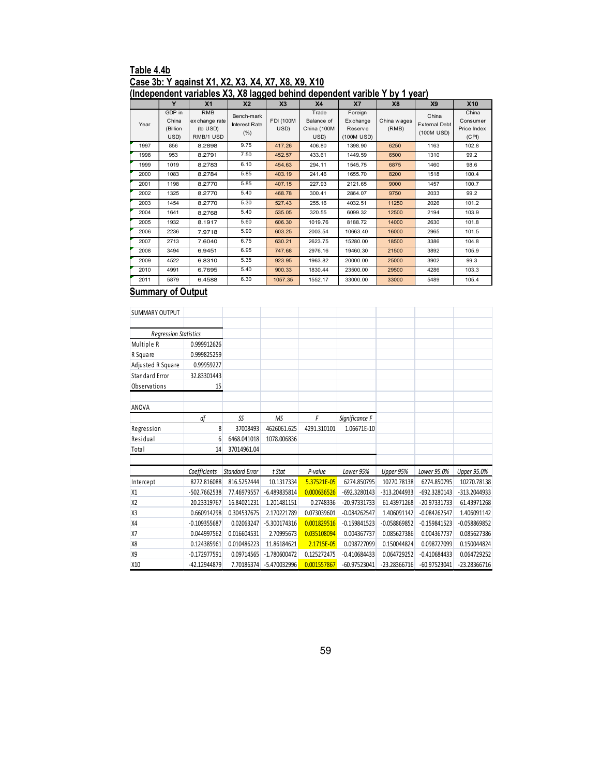# **Table 4.4b Case 3b: Y against X1, X2, X3, X4, X7, X8, X9, X10**

#### **(Independent variables X3, X8 lagged behind dependent varible Y by 1 year) Y** | X1 | X2 | X3 | X4 | X7 | X8 | X9 | X10 Year GDP in China (Billion USD) RMB ex change rate (to USD) RMB/1 USD Bench-mark Interest Rate (%) FDI (100M USD) **Trade** Balance of China (100M  $\frac{\text{USD}}{406.80}$ Foreign Ex change Reserv e (100M USD) China wages (RMB) China Ex ternal Deb (100M USD) China Consumer Price Index (CPI) 1997 856 8.2898 9.75 417.26 406.80 1398.90 6250 1163 102.8 1998 953 8.2791 7.50 452.57 433.61 1449.59 6500 1310 99.2 1999 1019 8.2783 6.10 454.63 294.11 1545.75 6875 1460 98.6 2000 1083 8.2784 5.85 403.19 241.46 1655.70 8200 1518 100.4 2001 1198 8.2770 5.85 407.15 227.93 2121.65 9000 1457 100.7 2002 1325 8.2770 5.40 468.78 300.41 2864.07 9750 2033 99.2 2003 1454 8.2770 5.30 527.43 255.16 4032.51 11250 2026 101.2 2004 1641 8.2768 5.40 535.05 320.55 6099.32 12500 2194 103.9 2005 1932 8.1917 5.60 606.30 1019.76 8188.72 14000 2630 101.8 2006 2236 7.9718 5.90 603.25 2003.54 10663.40 16000 2965 101.5 2007 2713 7.6040 6.75 630.21 2623.75 15280.00 18500 3386 104.8 2008 3494 6.9451 6.95 747.68 2976.16 19460.30 21500 3892 105.9 2009 4522 6.8310 5.35 923.95 1963.82 20000.00 25000 3902 99.3 2010 4991 6.7695 5.40 900.33 1830.44 23500.00 29500 4286 103.3

2011 5879 6.4588 6.30 <mark>1057.35</mark> 1552.17 33000.00 33000 5489 105.4

| <b>SUMMARY OUTPUT</b>        |                |                       |              |             |                |              |                |                    |
|------------------------------|----------------|-----------------------|--------------|-------------|----------------|--------------|----------------|--------------------|
|                              |                |                       |              |             |                |              |                |                    |
| <b>Regression Statistics</b> |                |                       |              |             |                |              |                |                    |
| Multiple R                   | 0.999912626    |                       |              |             |                |              |                |                    |
| R Square                     | 0.999825259    |                       |              |             |                |              |                |                    |
| Adjusted R Square            | 0.99959227     |                       |              |             |                |              |                |                    |
| <b>Standard Error</b>        | 32.83301443    |                       |              |             |                |              |                |                    |
| Observations                 | 15             |                       |              |             |                |              |                |                    |
| <b>ANOVA</b>                 |                |                       |              |             |                |              |                |                    |
|                              | df             | SS                    | <b>MS</b>    | F           | Significance F |              |                |                    |
|                              | 8              | 37008493              | 4626061.625  | 4291.310101 | 1.06671E-10    |              |                |                    |
| Regression<br>Residual       | 6              | 6468.041018           | 1078.006836  |             |                |              |                |                    |
| Total                        | 14             | 37014961.04           |              |             |                |              |                |                    |
|                              |                |                       |              |             |                |              |                |                    |
|                              | Coefficients   | <b>Standard Error</b> | t Stat       | P-value     | Lower 95%      | Upper 95%    | Lower 95.0%    | <b>Upper 95.0%</b> |
| Intercept                    | 8272.816088    | 816.5252444           | 10.1317334   | 5.37521E-05 | 6274.850795    | 10270.78138  | 6274.850795    | 10270.78138        |
| X1                           | -502.7662538   | 77.46979557           | -6.489835814 | 0.000636526 | -692.3280143   | -313.2044933 | -692.3280143   | -313.2044933       |
| X <sub>2</sub>               | 20.23319767    | 16.84021231           | 1.201481151  | 0.2748336   | -20.97331733   | 61.43971268  | -20.97331733   | 61.43971268        |
| X <sub>3</sub>               | 0.660914298    | 0.304537675           | 2.170221789  | 0.073039601 | $-0.084262547$ | 1.406091142  | $-0.084262547$ | 1.406091142        |
| <b>X4</b>                    | $-0.109355687$ | 0.02063247            | -5.300174316 | 0.001829516 | $-0.159841523$ | -0.058869852 | $-0.159841523$ | $-0.058869852$     |
| X7                           | 0.044997562    | 0.016604531           | 2.70995673   | 0.035108094 | 0.004367737    | 0.085627386  | 0.004367737    | 0.085627386        |
| X <sub>8</sub>               | 0.124385961    | 0.010486223           | 11.86184621  | 2.1715E-05  | 0.098727099    | 0.150044824  | 0.098727099    | 0.150044824        |
| <b>X9</b>                    | $-0.172977591$ | 0.09714565            | -1.780600472 | 0.125272475 | $-0.410684433$ | 0.064729252  | $-0.410684433$ | 0.064729252        |
| X10                          | -42.12944879   | 7.70186374            | -5.470032996 | 0.001557867 | $-60.97523041$ | -23.28366716 | -60.97523041   | -23.28366716       |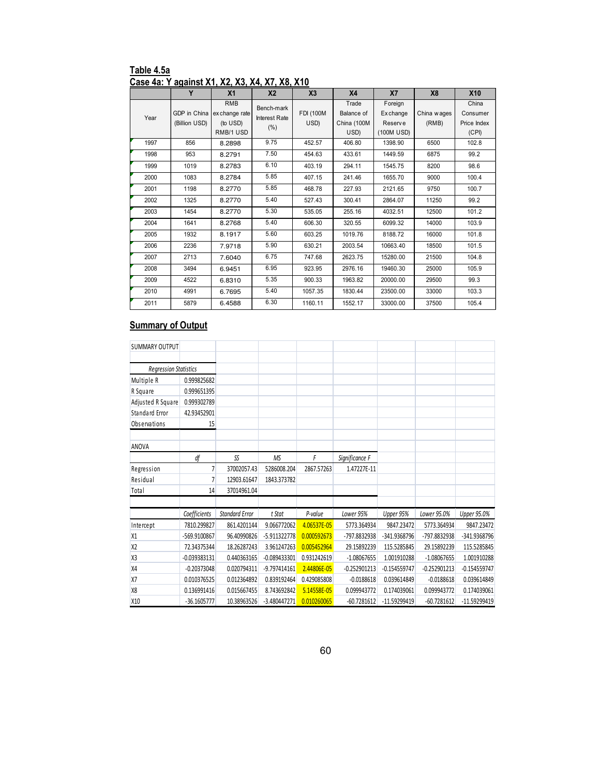| Table 4.5a                                     |  |  |
|------------------------------------------------|--|--|
| Case 4a: Y against X1, X2, X3, X4, X7, X8, X10 |  |  |

|      | Y                             | X <sub>1</sub>                                        | X <sub>2</sub>                      | X <sub>3</sub>    | X <sub>4</sub>                             | <b>X7</b>                                    | X <sub>8</sub>       | X10                                       |
|------|-------------------------------|-------------------------------------------------------|-------------------------------------|-------------------|--------------------------------------------|----------------------------------------------|----------------------|-------------------------------------------|
| Year | GDP in China<br>(Billion USD) | <b>RMB</b><br>ex change rate<br>(to USD)<br>RMB/1 USD | Bench-mark<br>Interest Rate<br>(% ) | FDI (100M<br>USD) | Trade<br>Balance of<br>China (100M<br>USD) | Foreign<br>Exchange<br>Reserve<br>(100M USD) | China wages<br>(RMB) | China<br>Consumer<br>Price Index<br>(CPI) |
| 1997 | 856                           | 8.2898                                                | 9.75                                | 452.57            | 406.80                                     | 1398.90                                      | 6500                 | 102.8                                     |
| 1998 | 953                           | 8.2791                                                | 7.50                                | 454.63            | 433.61                                     | 1449.59                                      | 6875                 | 99.2                                      |
| 1999 | 1019                          | 8.2783                                                | 6.10                                | 403.19            | 294.11                                     | 1545.75                                      | 8200                 | 98.6                                      |
| 2000 | 1083                          | 8.2784                                                | 5.85                                | 407.15            | 241.46                                     | 1655.70                                      | 9000                 | 100.4                                     |
| 2001 | 1198                          | 8.2770                                                | 5.85                                | 468.78            | 227.93                                     | 2121.65                                      | 9750                 | 100.7                                     |
| 2002 | 1325                          | 8.2770                                                | 5.40                                | 527.43            | 300.41                                     | 2864.07                                      | 11250                | 99.2                                      |
| 2003 | 1454                          | 8.2770                                                | 5.30                                | 535.05            | 255.16                                     | 4032.51                                      | 12500                | 101.2                                     |
| 2004 | 1641                          | 8.2768                                                | 5.40                                | 606.30            | 320.55                                     | 6099.32                                      | 14000                | 103.9                                     |
| 2005 | 1932                          | 8.1917                                                | 5.60                                | 603.25            | 1019.76                                    | 8188.72                                      | 16000                | 101.8                                     |
| 2006 | 2236                          | 7.9718                                                | 5.90                                | 630.21            | 2003.54                                    | 10663.40                                     | 18500                | 101.5                                     |
| 2007 | 2713                          | 7.6040                                                | 6.75                                | 747.68            | 2623.75                                    | 15280.00                                     | 21500                | 104.8                                     |
| 2008 | 3494                          | 6.9451                                                | 6.95                                | 923.95            | 2976.16                                    | 19460.30                                     | 25000                | 105.9                                     |
| 2009 | 4522                          | 6.8310                                                | 5.35                                | 900.33            | 1963.82                                    | 20000.00                                     | 29500                | 99.3                                      |
| 2010 | 4991                          | 6.7695                                                | 5.40                                | 1057.35           | 1830.44                                    | 23500.00                                     | 33000                | 103.3                                     |
| 2011 | 5879                          | 6.4588                                                | 6.30                                | 1160.11           | 1552.17                                    | 33000.00                                     | 37500                | 105.4                                     |

| <b>SUMMARY OUTPUT</b>        |                |                       |                |             |                |                |                |                |
|------------------------------|----------------|-----------------------|----------------|-------------|----------------|----------------|----------------|----------------|
|                              |                |                       |                |             |                |                |                |                |
| <b>Regression Statistics</b> |                |                       |                |             |                |                |                |                |
| Multiple R                   | 0.999825682    |                       |                |             |                |                |                |                |
| R Square                     | 0.999651395    |                       |                |             |                |                |                |                |
| Adjusted R Square            | 0.999302789    |                       |                |             |                |                |                |                |
| Standard Error               | 42.93452901    |                       |                |             |                |                |                |                |
| Observations                 | 15             |                       |                |             |                |                |                |                |
| ANOVA                        |                |                       |                |             |                |                |                |                |
|                              | df             | SS                    | MS             | F           | Significance F |                |                |                |
| Regression                   | 7              | 37002057.43           | 5286008.204    | 2867.57263  | 1.47227E-11    |                |                |                |
| Residual                     | 7              | 12903.61647           | 1843.373782    |             |                |                |                |                |
| Total                        | 14             | 37014961.04           |                |             |                |                |                |                |
|                              |                |                       |                |             |                |                |                |                |
|                              | Coefficients   | <b>Standard Error</b> | t Stat         | P-value     | Lower 95%      | Upper 95%      | Lower 95.0%    | Upper 95.0%    |
| Intercept                    | 7810.299827    | 861.4201144           | 9.066772062    | 4.06537E-05 | 5773.364934    | 9847.23472     | 5773.364934    | 9847.23472     |
| X1                           | -569.9100867   | 96.40990826           | -5.911322778   | 0.000592673 | -797.8832938   | -341.9368796   | -797.8832938   | -341.9368796   |
| X <sub>2</sub>               | 72.34375344    | 18.26287243           | 3.961247263    | 0.005452964 | 29.15892239    | 115.5285845    | 29.15892239    | 115.5285845    |
| X3                           | $-0.039383131$ | 0.440363165           | $-0.089433301$ | 0.931242619 | $-1.08067655$  | 1.001910288    | $-1.08067655$  | 1.001910288    |
| <b>X4</b>                    | $-0.20373048$  | 0.020794311           | $-9.797414161$ | 2.44806E-05 | $-0.252901213$ | $-0.154559747$ | $-0.252901213$ | $-0.154559747$ |
| X7                           | 0.010376525    | 0.012364892           | 0.839192464    | 0.429085808 | $-0.0188618$   | 0.039614849    | $-0.0188618$   | 0.039614849    |
| X8                           | 0.136991416    | 0.015667455           | 8.743692842    | 5.14558E-05 | 0.099943772    | 0.174039061    | 0.099943772    | 0.174039061    |
| X10                          | $-36.1605777$  | 10.38963526           | $-3.480447271$ | 0.010260065 | $-60.7281612$  | -11.59299419   | $-60.7281612$  | -11.59299419   |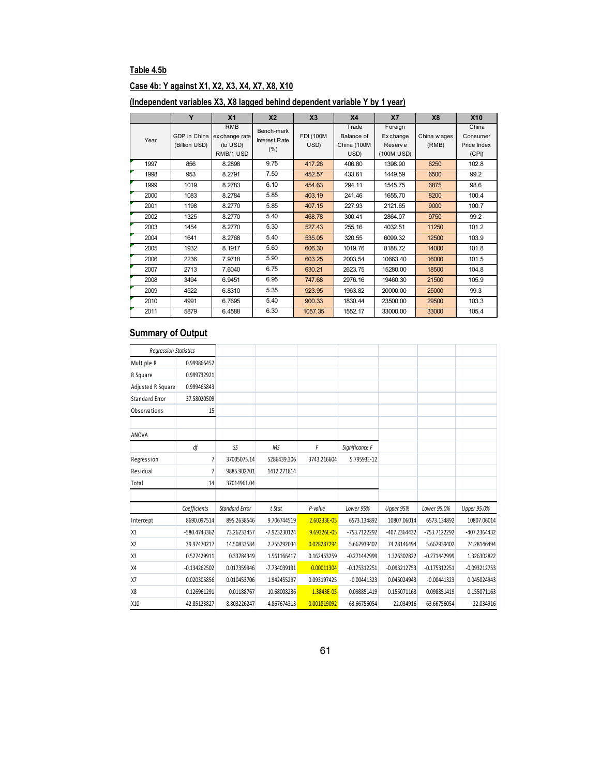# **Table 4.5b**

### **Case 4b: Y against X1, X2, X3, X4, X7, X8, X10**

|--|

|      | Y                             | X <sub>1</sub>                                        | X <sub>2</sub>                             | X <sub>3</sub>           | X <sub>4</sub>                             | X7                                            | <b>X8</b>             | X10                                       |
|------|-------------------------------|-------------------------------------------------------|--------------------------------------------|--------------------------|--------------------------------------------|-----------------------------------------------|-----------------------|-------------------------------------------|
| Year | GDP in China<br>(Billion USD) | <b>RMB</b><br>ex change rate<br>(to USD)<br>RMB/1 USD | Bench-mark<br><b>Interest Rate</b><br>(% ) | <b>FDI (100M</b><br>USD) | Trade<br>Balance of<br>China (100M<br>USD) | Foreign<br>Ex change<br>Reserve<br>(100M USD) | China w ages<br>(RMB) | China<br>Consumer<br>Price Index<br>(CPI) |
| 1997 | 856                           | 8.2898                                                | 9.75                                       | 417.26                   | 406.80                                     | 1398.90                                       | 6250                  | 102.8                                     |
| 1998 | 953                           | 8.2791                                                | 7.50                                       | 452.57                   | 433.61                                     | 1449.59                                       | 6500                  | 99.2                                      |
| 1999 | 1019                          | 8.2783                                                | 6.10                                       | 454.63                   | 294.11                                     | 1545.75                                       | 6875                  | 98.6                                      |
| 2000 | 1083                          | 8.2784                                                | 5.85                                       | 403.19                   | 241.46                                     | 1655.70                                       | 8200                  | 100.4                                     |
| 2001 | 1198                          | 8.2770                                                | 5.85                                       | 407.15                   | 227.93                                     | 2121.65                                       | 9000                  | 100.7                                     |
| 2002 | 1325                          | 8.2770                                                | 5.40                                       | 468.78                   | 300.41                                     | 2864.07                                       | 9750                  | 99.2                                      |
| 2003 | 1454                          | 8.2770                                                | 5.30                                       | 527.43                   | 255.16                                     | 4032.51                                       | 11250                 | 101.2                                     |
| 2004 | 1641                          | 8.2768                                                | 5.40                                       | 535.05                   | 320.55                                     | 6099.32                                       | 12500                 | 103.9                                     |
| 2005 | 1932                          | 8.1917                                                | 5.60                                       | 606.30                   | 1019.76                                    | 8188.72                                       | 14000                 | 101.8                                     |
| 2006 | 2236                          | 7.9718                                                | 5.90                                       | 603.25                   | 2003.54                                    | 10663.40                                      | 16000                 | 101.5                                     |
| 2007 | 2713                          | 7.6040                                                | 6.75                                       | 630.21                   | 2623.75                                    | 15280.00                                      | 18500                 | 104.8                                     |
| 2008 | 3494                          | 6.9451                                                | 6.95                                       | 747.68                   | 2976.16                                    | 19460.30                                      | 21500                 | 105.9                                     |
| 2009 | 4522                          | 6.8310                                                | 5.35                                       | 923.95                   | 1963.82                                    | 20000.00                                      | 25000                 | 99.3                                      |
| 2010 | 4991                          | 6.7695                                                | 5.40                                       | 900.33                   | 1830.44                                    | 23500.00                                      | 29500                 | 103.3                                     |
| 2011 | 5879                          | 6.4588                                                | 6.30                                       | 1057.35                  | 1552.17                                    | 33000.00                                      | 33000                 | 105.4                                     |

| <b>Regression Statistics</b> |                |                       |              |             |                |                |                |                    |
|------------------------------|----------------|-----------------------|--------------|-------------|----------------|----------------|----------------|--------------------|
| Multiple R                   | 0.999866452    |                       |              |             |                |                |                |                    |
| R Square                     | 0.999732921    |                       |              |             |                |                |                |                    |
| Adjusted R Square            | 0.999465843    |                       |              |             |                |                |                |                    |
| Standard Error               | 37.58020509    |                       |              |             |                |                |                |                    |
| Observations                 | 15             |                       |              |             |                |                |                |                    |
| ANOVA                        |                |                       |              |             |                |                |                |                    |
|                              | df             | SS                    | <b>MS</b>    | F           | Significance F |                |                |                    |
| Regression                   | 7              | 37005075.14           | 5286439.306  | 3743.216604 | 5.79593E-12    |                |                |                    |
| Residual                     | 7              | 9885.902701           | 1412.271814  |             |                |                |                |                    |
| <b>Total</b>                 | 14             | 37014961.04           |              |             |                |                |                |                    |
|                              | Coefficients   | <b>Standard Error</b> | t Stat       | P-value     | Lower 95%      | Upper 95%      | Lower 95.0%    | <b>Upper 95.0%</b> |
| Intercept                    | 8690.097514    | 895.2638546           | 9.706744519  | 2.60233E-05 | 6573.134892    | 10807.06014    | 6573.134892    | 10807.06014        |
| X1                           | -580.4743362   | 73.26233457           | -7.923230124 | 9.69326E-05 | -753.7122292   | -407.2364432   | -753.7122292   | -407.2364432       |
| X <sub>2</sub>               | 39.97470217    | 14.50833584           | 2.755292034  | 0.028287294 | 5.667939402    | 74.28146494    | 5.667939402    | 74.28146494        |
| X <sub>3</sub>               | 0.527429911    | 0.33784349            | 1.561166417  | 0.162453259 | $-0.271442999$ | 1.326302822    | $-0.271442999$ | 1.326302822        |
| X4                           | $-0.134262502$ | 0.017359946           | -7.734039191 | 0.00011304  | $-0.175312251$ | $-0.093212753$ | $-0.175312251$ | $-0.093212753$     |
| <b>X7</b>                    | 0.020305856    | 0.010453706           | 1.942455297  | 0.093197425 | $-0.00441323$  | 0.045024943    | $-0.00441323$  | 0.045024943        |
| X <sub>8</sub>               | 0.126961291    | 0.01188767            | 10.68008236  | 1.3843E-05  | 0.098851419    | 0.155071163    | 0.098851419    | 0.155071163        |
| X10                          | -42.85123827   | 8.803226247           | -4.867674313 | 0.001819092 | -63.66756054   | $-22.034916$   | -63.66756054   | $-22.034916$       |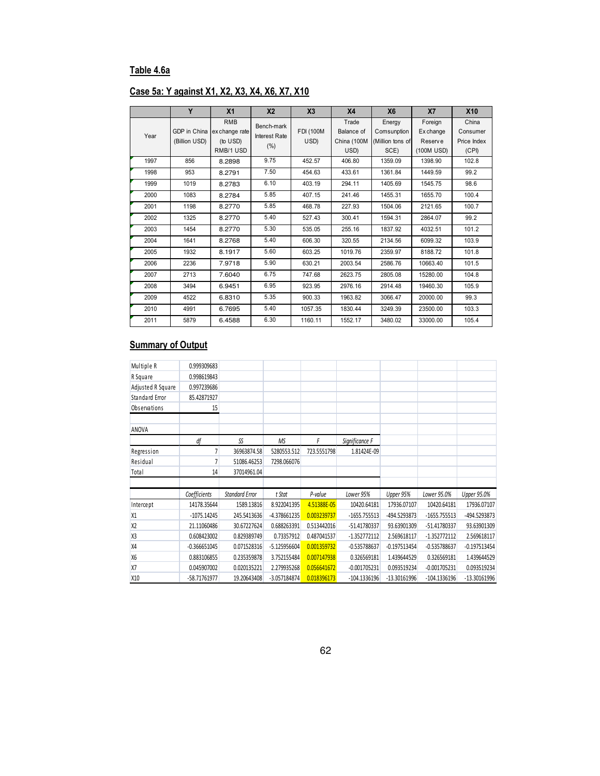### **Table 4.6a**

# **Case 5a: Y against X1, X2, X3, X4, X6, X7, X10**

|      | Y                             | X <sub>1</sub>                                        | X <sub>2</sub>                             | X3                | X <sub>4</sub>                             | <b>X6</b>                                         | X <sub>7</sub>                                | <b>X10</b>                                |
|------|-------------------------------|-------------------------------------------------------|--------------------------------------------|-------------------|--------------------------------------------|---------------------------------------------------|-----------------------------------------------|-------------------------------------------|
| Year | GDP in China<br>(Billion USD) | <b>RMB</b><br>ex change rate<br>(to USD)<br>RMB/1 USD | Bench-mark<br><b>Interest Rate</b><br>(% ) | FDI (100M<br>USD) | Trade<br>Balance of<br>China (100M<br>USD) | Energy<br>Comsunption<br>(Million tons of<br>SCE) | Foreign<br>Ex change<br>Reserve<br>(100M USD) | China<br>Consumer<br>Price Index<br>(CPI) |
| 1997 | 856                           | 8.2898                                                | 9.75                                       | 452.57            | 406.80                                     | 1359.09                                           | 1398.90                                       | 102.8                                     |
| 1998 | 953                           | 8.2791                                                | 7.50                                       | 454.63            | 433.61                                     | 1361.84                                           | 1449.59                                       | 99.2                                      |
| 1999 | 1019                          | 8.2783                                                | 6.10                                       | 403.19            | 294.11                                     | 1405.69                                           | 1545.75                                       | 98.6                                      |
| 2000 | 1083                          | 8.2784                                                | 5.85                                       | 407.15            | 241.46                                     | 1455.31                                           | 1655.70                                       | 100.4                                     |
| 2001 | 1198                          | 8.2770                                                | 5.85                                       | 468.78            | 227.93                                     | 1504.06                                           | 2121.65                                       | 100.7                                     |
| 2002 | 1325                          | 8.2770                                                | 5.40                                       | 527.43            | 300.41                                     | 1594.31                                           | 2864.07                                       | 99.2                                      |
| 2003 | 1454                          | 8.2770                                                | 5.30                                       | 535.05            | 255.16                                     | 1837.92                                           | 4032.51                                       | 101.2                                     |
| 2004 | 1641                          | 8.2768                                                | 5.40                                       | 606.30            | 320.55                                     | 2134.56                                           | 6099.32                                       | 103.9                                     |
| 2005 | 1932                          | 8.1917                                                | 5.60                                       | 603.25            | 1019.76                                    | 2359.97                                           | 8188.72                                       | 101.8                                     |
| 2006 | 2236                          | 7.9718                                                | 5.90                                       | 630.21            | 2003.54                                    | 2586.76                                           | 10663.40                                      | 101.5                                     |
| 2007 | 2713                          | 7.6040                                                | 6.75                                       | 747.68            | 2623.75                                    | 2805.08                                           | 15280.00                                      | 104.8                                     |
| 2008 | 3494                          | 6.9451                                                | 6.95                                       | 923.95            | 2976.16                                    | 2914.48                                           | 19460.30                                      | 105.9                                     |
| 2009 | 4522                          | 6.8310                                                | 5.35                                       | 900.33            | 1963.82                                    | 3066.47                                           | 20000.00                                      | 99.3                                      |
| 2010 | 4991                          | 6.7695                                                | 5.40                                       | 1057.35           | 1830.44                                    | 3249.39                                           | 23500.00                                      | 103.3                                     |
| 2011 | 5879                          | 6.4588                                                | 6.30                                       | 1160.11           | 1552.17                                    | 3480.02                                           | 33000.00                                      | 105.4                                     |

| Multiple R        | 0.999309683    |                       |                |             |                |                |                |                    |
|-------------------|----------------|-----------------------|----------------|-------------|----------------|----------------|----------------|--------------------|
| R Square          | 0.998619843    |                       |                |             |                |                |                |                    |
| Adjusted R Square | 0.997239686    |                       |                |             |                |                |                |                    |
| Standard Error    | 85.42871927    |                       |                |             |                |                |                |                    |
| Observations      | 15             |                       |                |             |                |                |                |                    |
| ANOVA             |                |                       |                |             |                |                |                |                    |
|                   | df             | SS                    | <b>MS</b>      | F           | Significance F |                |                |                    |
| Regression        | 7              | 36963874.58           | 5280553.512    | 723.5551798 | 1.81424E-09    |                |                |                    |
| Residual          | 7              | 51086.46253           | 7298.066076    |             |                |                |                |                    |
| Total             | 14             | 37014961.04           |                |             |                |                |                |                    |
|                   |                |                       |                |             |                |                |                |                    |
|                   | Coefficients   | <b>Standard Error</b> | t Stat         | P-value     | Lower 95%      | Upper 95%      | Lower 95.0%    | <b>Upper 95.0%</b> |
| Intercept         | 14178.35644    | 1589.13816            | 8.922041395    | 4.51388E-05 | 10420.64181    | 17936.07107    | 10420.64181    | 17936.07107        |
| X1                | $-1075.14245$  | 245.5413636           | -4.378661235   | 0.003239737 | $-1655.755513$ | -494.5293873   | $-1655.755513$ | -494.5293873       |
| X <sub>2</sub>    | 21.11060486    | 30.67227624           | 0.688263391    | 0.513442016 | -51.41780337   | 93.63901309    | -51.41780337   | 93.63901309        |
| X <sub>3</sub>    | 0.608423002    | 0.829389749           | 0.73357912     | 0.487041537 | $-1.352772112$ | 2.569618117    | $-1.352772112$ | 2.569618117        |
| X4                | $-0.366651045$ | 0.071528316           | $-5.125956604$ | 0.001359732 | $-0.535788637$ | $-0.197513454$ | $-0.535788637$ | $-0.197513454$     |
| <b>X6</b>         | 0.883106855    | 0.235359878           | 3.752155484    | 0.007147938 | 0.326569181    | 1.439644529    | 0.326569181    | 1.439644529        |
| X7                | 0.045907002    | 0.020135221           | 2.279935268    | 0.056641672 | $-0.001705231$ | 0.093519234    | $-0.001705231$ | 0.093519234        |
| X10               | -58.71761977   | 19.20643408           | $-3.057184874$ | 0.018396173 | $-104.1336196$ | $-13.30161996$ | -104.1336196   | $-13.30161996$     |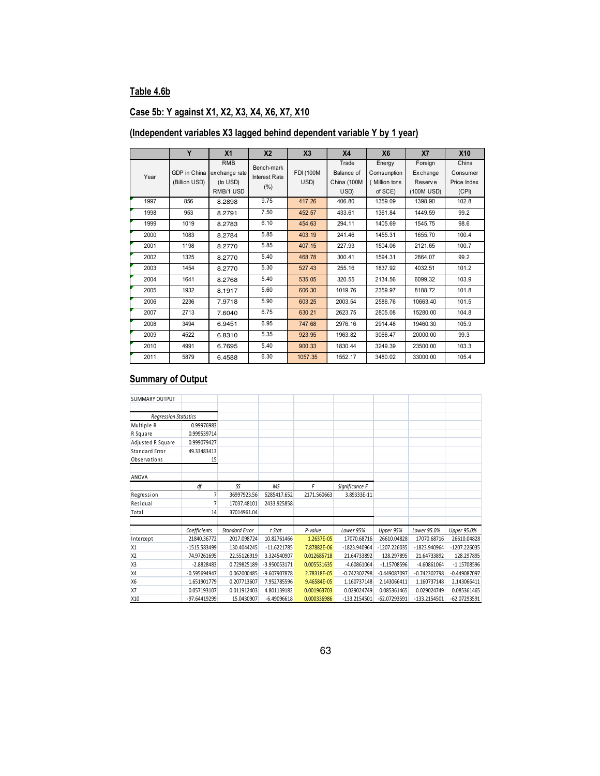# **Table 4.6b**

# **Case 5b: Y against X1, X2, X3, X4, X6, X7, X10**

# **(Independent variables X3 lagged behind dependent variable Y by 1 year)**

|      | Y                             | X <sub>1</sub>                                        | X <sub>2</sub>                             | X <sub>3</sub>    | X <sub>4</sub>                             | X <sub>6</sub>                                    | X7                                           | <b>X10</b>                                |
|------|-------------------------------|-------------------------------------------------------|--------------------------------------------|-------------------|--------------------------------------------|---------------------------------------------------|----------------------------------------------|-------------------------------------------|
| Year | GDP in China<br>(Billion USD) | <b>RMB</b><br>ex change rate<br>(to USD)<br>RMB/1 USD | Bench-mark<br><b>Interest Rate</b><br>(% ) | FDI (100M<br>USD) | Trade<br>Balance of<br>China (100M<br>USD) | Energy<br>Comsunption<br>(Million tons<br>of SCE) | Foreign<br>Exchange<br>Reserve<br>(100M USD) | China<br>Consumer<br>Price Index<br>(CPI) |
| 1997 | 856                           | 8.2898                                                | 9.75                                       | 417.26            | 406.80                                     | 1359.09                                           | 1398.90                                      | 102.8                                     |
| 1998 | 953                           | 8.2791                                                | 7.50                                       | 452.57            | 433.61                                     | 1361.84                                           | 1449.59                                      | 99.2                                      |
| 1999 | 1019                          | 8.2783                                                | 6.10                                       | 454.63            | 294.11                                     | 1405.69                                           | 1545.75                                      | 98.6                                      |
| 2000 | 1083                          | 8.2784                                                | 5.85                                       | 403.19            | 241.46                                     | 1455.31                                           | 1655.70                                      | 100.4                                     |
| 2001 | 1198                          | 8.2770                                                | 5.85                                       | 407.15            | 227.93                                     | 1504.06                                           | 2121.65                                      | 100.7                                     |
| 2002 | 1325                          | 8.2770                                                | 5.40                                       | 468.78            | 300.41                                     | 1594.31                                           | 2864.07                                      | 99.2                                      |
| 2003 | 1454                          | 8.2770                                                | 5.30                                       | 527.43            | 255.16                                     | 1837.92                                           | 4032.51                                      | 101.2                                     |
| 2004 | 1641                          | 8.2768                                                | 5.40                                       | 535.05            | 320.55                                     | 2134.56                                           | 6099.32                                      | 103.9                                     |
| 2005 | 1932                          | 8.1917                                                | 5.60                                       | 606.30            | 1019.76                                    | 2359.97                                           | 8188.72                                      | 101.8                                     |
| 2006 | 2236                          | 7.9718                                                | 5.90                                       | 603.25            | 2003.54                                    | 2586.76                                           | 10663.40                                     | 101.5                                     |
| 2007 | 2713                          | 7.6040                                                | 6.75                                       | 630.21            | 2623.75                                    | 2805.08                                           | 15280.00                                     | 104.8                                     |
| 2008 | 3494                          | 6.9451                                                | 6.95                                       | 747.68            | 2976.16                                    | 2914.48                                           | 19460.30                                     | 105.9                                     |
| 2009 | 4522                          | 6.8310                                                | 5.35                                       | 923.95            | 1963.82                                    | 3066.47                                           | 20000.00                                     | 99.3                                      |
| 2010 | 4991                          | 6.7695                                                | 5.40                                       | 900.33            | 1830.44                                    | 3249.39                                           | 23500.00                                     | 103.3                                     |
| 2011 | 5879                          | 6.4588                                                | 6.30                                       | 1057.35           | 1552.17                                    | 3480.02                                           | 33000.00                                     | 105.4                                     |

| <b>SUMMARY OUTPUT</b>        |                |                       |               |             |                |                |                |                |
|------------------------------|----------------|-----------------------|---------------|-------------|----------------|----------------|----------------|----------------|
|                              |                |                       |               |             |                |                |                |                |
| <b>Regression Statistics</b> |                |                       |               |             |                |                |                |                |
| Multiple R                   | 0.99976983     |                       |               |             |                |                |                |                |
| R Square                     | 0.999539714    |                       |               |             |                |                |                |                |
| Adjusted R Square            | 0.999079427    |                       |               |             |                |                |                |                |
| Standard Error               | 49.33483413    |                       |               |             |                |                |                |                |
| Observations                 | 15             |                       |               |             |                |                |                |                |
|                              |                |                       |               |             |                |                |                |                |
| ANOVA                        |                |                       |               |             |                |                |                |                |
|                              | df             | SS                    | <b>MS</b>     | F           | Significance F |                |                |                |
| Regression                   | $\overline{7}$ | 36997923.56           | 5285417.652   | 2171.560663 | 3.89333E-11    |                |                |                |
| Residual                     | $\overline{7}$ | 17037.48101           | 2433.925858   |             |                |                |                |                |
| Total                        | 14             | 37014961.04           |               |             |                |                |                |                |
|                              |                |                       |               |             |                |                |                |                |
|                              | Coefficients   | <b>Standard Error</b> | t Stat        | P-value     | Lower 95%      | Upper 95%      | Lower 95.0%    | Upper 95.0%    |
| Intercept                    | 21840.36772    | 2017.098724           | 10.82761466   | 1.2637E-05  | 17070.68716    | 26610.04828    | 17070.68716    | 26610.04828    |
| <b>X1</b>                    | -1515.583499   | 130.4044245           | $-11.6221785$ | 7.87882E-06 | -1823.940964   | -1207.226035   | -1823.940964   | $-1207.226035$ |
| X <sub>2</sub>               | 74.97261695    | 22.55126919           | 3.324540907   | 0.012685718 | 21.64733892    | 128.297895     | 21.64733892    | 128.297895     |
| X <sub>3</sub>               | $-2.8828483$   | 0.729825189           | -3.950053171  | 0.005531635 | $-4.60861064$  | $-1.15708596$  | $-4.60861064$  | $-1.15708596$  |
| X4                           | $-0.595694947$ | 0.062000485           | -9.607907878  | 2.78318E-05 | $-0.742302798$ | $-0.449087097$ | $-0.742302798$ | $-0.449087097$ |
| <b>X6</b>                    | 1.651901779    | 0.207713607           | 7.952785596   | 9.46584E-05 | 1.160737148    | 2.143066411    | 1.160737148    | 2.143066411    |
| <b>X7</b>                    | 0.057193107    | 0.011912403           | 4.801139182   | 0.001963703 | 0.029024749    | 0.085361465    | 0.029024749    | 0.085361465    |
| X <sub>10</sub>              | -97.64419299   | 15.0430907            | $-6.49096618$ | 0.000336986 | -133.2154501   | -62.07293591   | -133.2154501   | -62.07293591   |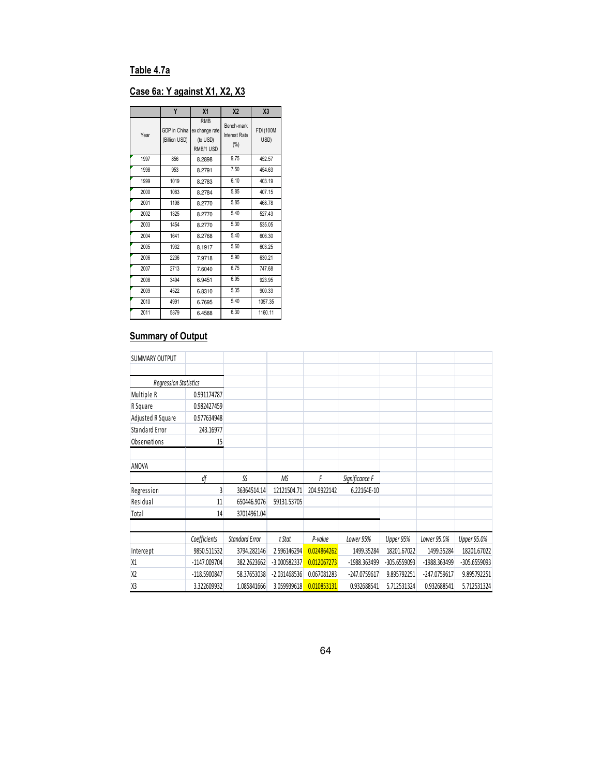# **Table 4.7a**

# **Case 6a: Y against X1, X2, X3**

|      | Y                             | X <sub>1</sub>                                        | X <sub>2</sub>                     | X <sub>3</sub>           |
|------|-------------------------------|-------------------------------------------------------|------------------------------------|--------------------------|
| Year | GDP in China<br>(Billion USD) | <b>RMB</b><br>ex change rate<br>(to USD)<br>RMB/1 USD | Bench-mark<br>Interest Rate<br>(%) | <b>FDI (100M</b><br>USD) |
| 1997 | 856                           | 8.2898                                                | 9.75                               | 452.57                   |
| 1998 | 953                           | 8.2791                                                | 7.50                               | 454.63                   |
| 1999 | 1019                          | 8.2783                                                | 6.10                               | 403.19                   |
| 2000 | 1083                          | 8.2784                                                | 5.85                               | 407.15                   |
| 2001 | 1198                          | 8.2770                                                | 5.85                               | 468.78                   |
| 2002 | 1325                          | 8.2770                                                | 5.40                               | 527.43                   |
| 2003 | 1454                          | 8.2770                                                | 5.30                               | 535.05                   |
| 2004 | 1641                          | 8.2768                                                | 5.40                               | 606.30                   |
| 2005 | 1932                          | 8.1917                                                | 5.60                               | 603.25                   |
| 2006 | 2236                          | 7.9718                                                | 5.90                               | 630.21                   |
| 2007 | 2713                          | 7.6040                                                | 6.75                               | 747.68                   |
| 2008 | 3494                          | 6.9451                                                | 6.95                               | 923.95                   |
| 2009 | 4522                          | 6.8310                                                | 5.35                               | 900.33                   |
| 2010 | 4991                          | 6.7695                                                | 5.40                               | 1057.35                  |
| 2011 | 5879                          | 6.4588                                                | 6.30                               | 1160.11                  |

| <b>SUMMARY OUTPUT</b>        |              |                       |                |             |                |              |              |              |
|------------------------------|--------------|-----------------------|----------------|-------------|----------------|--------------|--------------|--------------|
|                              |              |                       |                |             |                |              |              |              |
| <b>Regression Statistics</b> |              |                       |                |             |                |              |              |              |
| Multiple R                   | 0.991174787  |                       |                |             |                |              |              |              |
| R Square                     | 0.982427459  |                       |                |             |                |              |              |              |
| Adjusted R Square            | 0.977634948  |                       |                |             |                |              |              |              |
| Standard Error               | 243.16977    |                       |                |             |                |              |              |              |
| Observations                 | 15           |                       |                |             |                |              |              |              |
|                              |              |                       |                |             |                |              |              |              |
| ANOVA                        |              |                       |                |             |                |              |              |              |
|                              |              |                       |                |             |                |              |              |              |
|                              | df           | SS                    | MS             | F           | Significance F |              |              |              |
| Regression                   | 3            | 36364514.14           | 12121504.71    | 204.9922142 | 6.22164E-10    |              |              |              |
| Residual                     | 11           | 650446.9076           | 59131.53705    |             |                |              |              |              |
| Total                        | 14           | 37014961.04           |                |             |                |              |              |              |
|                              |              |                       |                |             |                |              |              |              |
|                              | Coefficients | <b>Standard Error</b> | t Stat         | P-value     | Lower 95%      | Upper 95%    | Lower 95.0%  | Upper 95.0%  |
| Intercept                    | 9850.511532  | 3794.282146           | 2.596146294    | 0.024864262 | 1499.35284     | 18201.67022  | 1499.35284   | 18201.67022  |
| X1                           | -1147.009704 | 382.2623662           | $-3.000582337$ | 0.012067273 | -1988.363499   | -305.6559093 | -1988.363499 | -305.6559093 |
| X <sub>2</sub>               | -118.5900847 | 58.37653038           | $-2.031468536$ | 0.067081283 | -247.0759617   | 9.895792251  | -247.0759617 | 9.895792251  |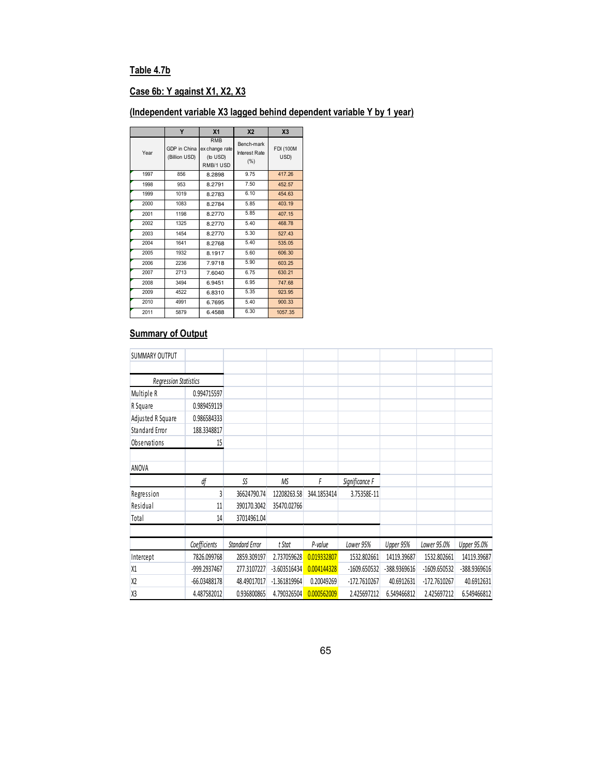# **Table 4.7b**

# **Case 6b: Y against X1, X2, X3**

# **(Independent variable X3 lagged behind dependent variable Y by 1 year)**

|      | Y                             | X <sub>1</sub>                                        | X <sub>2</sub>                     | X <sub>3</sub>           |
|------|-------------------------------|-------------------------------------------------------|------------------------------------|--------------------------|
| Year | GDP in China<br>(Billion USD) | <b>RMB</b><br>ex change rate<br>(to USD)<br>RMB/1 USD | Bench-mark<br>Interest Rate<br>(%) | <b>FDI (100M</b><br>USD) |
| 1997 | 856                           | 8.2898                                                | 9.75                               | 417.26                   |
| 1998 | 953                           | 8.2791                                                | 7.50                               | 452.57                   |
| 1999 | 1019                          | 8.2783                                                | 6.10                               | 454.63                   |
| 2000 | 1083                          | 8.2784                                                | 5.85                               | 403.19                   |
| 2001 | 1198                          | 8.2770                                                | 5.85                               | 407.15                   |
| 2002 | 1325                          | 8.2770                                                | 5.40                               | 468.78                   |
| 2003 | 1454                          | 8.2770                                                | 5.30                               | 527.43                   |
| 2004 | 1641                          | 8.2768                                                | 5.40                               | 535.05                   |
| 2005 | 1932                          | 8.1917                                                | 5.60                               | 606.30                   |
| 2006 | 2236                          | 7.9718                                                | 5.90                               | 603.25                   |
| 2007 | 2713                          | 7.6040                                                | 6.75                               | 630.21                   |
| 2008 | 3494                          | 6.9451                                                | 6.95                               | 747.68                   |
| 2009 | 4522                          | 6.8310                                                | 5.35                               | 923.95                   |
| 2010 | 4991                          | 6.7695                                                | 5.40                               | 900.33                   |
| 2011 | 5879                          | 6.4588                                                | 6.30                               | 1057.35                  |

| <b>SUMMARY OUTPUT</b>        |              |                       |                |             |                |              |              |                    |
|------------------------------|--------------|-----------------------|----------------|-------------|----------------|--------------|--------------|--------------------|
|                              |              |                       |                |             |                |              |              |                    |
| <b>Regression Statistics</b> |              |                       |                |             |                |              |              |                    |
| Multiple R                   | 0.994715597  |                       |                |             |                |              |              |                    |
| R Square                     | 0.989459119  |                       |                |             |                |              |              |                    |
| Adjusted R Square            | 0.986584333  |                       |                |             |                |              |              |                    |
| Standard Error               | 188.3348817  |                       |                |             |                |              |              |                    |
| Observations                 | 15           |                       |                |             |                |              |              |                    |
|                              |              |                       |                |             |                |              |              |                    |
| ANOVA                        |              |                       |                |             |                |              |              |                    |
|                              |              |                       |                |             |                |              |              |                    |
|                              | df           | SS                    | ΜS             | F           | Significance F |              |              |                    |
| Regression                   | 3            | 36624790.74           | 12208263.58    | 344.1853414 | 3.75358E-11    |              |              |                    |
| Residual                     | 11           | 390170.3042           | 35470.02766    |             |                |              |              |                    |
| Total                        | 14           | 37014961.04           |                |             |                |              |              |                    |
|                              |              |                       |                |             |                |              |              |                    |
|                              | Coefficients | <b>Standard Error</b> | t Stat         | P-value     | Lower 95%      | Upper 95%    | Lower 95.0%  | <b>Upper 95.0%</b> |
| Intercept                    | 7826.099768  | 2859.309197           | 2.737059628    | 0.019332807 | 1532.802661    | 14119.39687  | 1532.802661  | 14119.39687        |
| X1                           | -999.2937467 | 277.3107227           | $-3.603516434$ | 0.004144328 | -1609.650532   | -388.9369616 | -1609.650532 | -388.9369616       |
| X <sub>2</sub>               | -66.03488178 | 48.49017017           | $-1.361819964$ | 0.20049269  | -172.7610267   | 40.6912631   | -172.7610267 | 40.6912631         |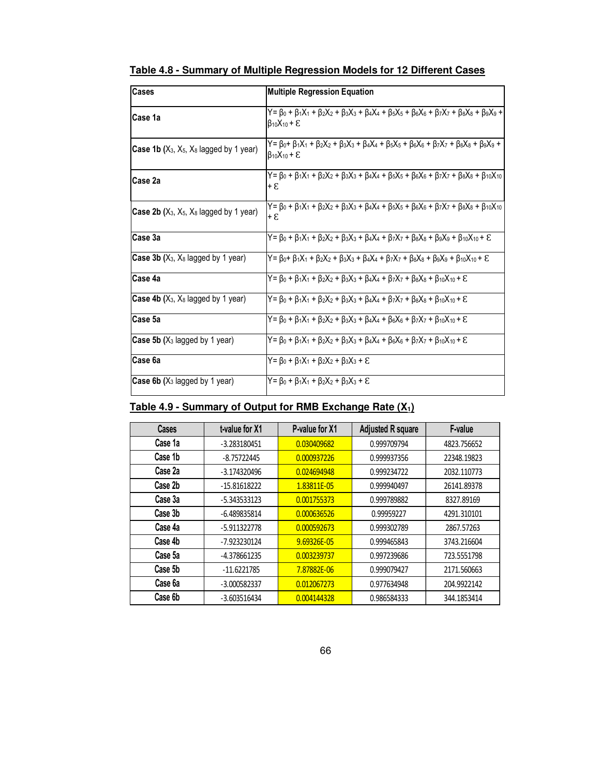| Cases                                                    | <b>Multiple Regression Equation</b>                                                                                                                                            |
|----------------------------------------------------------|--------------------------------------------------------------------------------------------------------------------------------------------------------------------------------|
| Case 1a                                                  | $Y = \beta_0 + \beta_1 X_1 + \beta_2 X_2 + \beta_3 X_3 + \beta_4 X_4 + \beta_5 X_5 + \beta_6 X_6 + \beta_7 X_7 + \beta_8 X_8 + \beta_9 X_9 +$<br>$\beta_{10}X_{10} + \epsilon$ |
| <b>Case 1b</b> ( $X_3$ , $X_5$ , $X_8$ lagged by 1 year) | Y= β0+ β1X1 + β2X2 + β3X3 + β4X4 + β5X5 + β6X6 + β7X7 + β8X8 + β9X9 +<br>$\beta_{10}X_{10} + \varepsilon$                                                                      |
| Case 2a                                                  | Y= β0 + β1X1 + β2X2 + β3X3 + β4X4 + β5X5 + β6X6 + β7X7 + β8X8 + β10X10<br>+ ይ                                                                                                  |
| <b>Case 2b</b> ( $X_3$ , $X_5$ , $X_8$ lagged by 1 year) | $Y = \beta_0 + \beta_1 X_1 + \beta_2 X_2 + \beta_3 X_3 + \beta_4 X_4 + \beta_5 X_5 + \beta_6 X_6 + \beta_7 X_7 + \beta_8 X_8 + \beta_{10} X_{10}$<br>+ 8                       |
| Case 3a                                                  | $Y = \beta_0 + \beta_1 X_1 + \beta_2 X_2 + \beta_3 X_3 + \beta_4 X_4 + \beta_7 X_7 + \beta_8 X_8 + \beta_9 X_9 + \beta_{10} X_{10} + \epsilon$                                 |
| <b>Case 3b</b> ( $X_3$ , $X_8$ lagged by 1 year)         | $Y = \beta_0 + \beta_1 X_1 + \beta_2 X_2 + \beta_3 X_3 + \beta_4 X_4 + \beta_7 X_7 + \beta_8 X_8 + \beta_9 X_9 + \beta_{10} X_{10} + \epsilon$                                 |
| Case 4a                                                  | Y= β0 + β1X1 + β2X2 + β3X3 + β4X4 + β7X7 + β8X8 + β10X10 + E                                                                                                                   |
| <b>Case 4b</b> $(X_3, X_8)$ lagged by 1 year)            | $Y = \beta_0 + \beta_1 X_1 + \beta_2 X_2 + \beta_3 X_3 + \beta_4 X_4 + \beta_7 X_7 + \beta_8 X_8 + \beta_{10} X_{10} + \epsilon$                                               |
| Case 5a                                                  | $Y = \beta_0 + \beta_1 X_1 + \beta_2 X_2 + \beta_3 X_3 + \beta_4 X_4 + \beta_6 X_6 + \beta_7 X_7 + \beta_{10} X_{10} + \epsilon$                                               |
| <b>Case 5b</b> ( $X_3$ lagged by 1 year)                 | $Y = \beta_0 + \beta_1 X_1 + \beta_2 X_2 + \beta_3 X_3 + \beta_4 X_4 + \beta_6 X_6 + \beta_7 X_7 + \beta_{10} X_{10} + \epsilon$                                               |
| Case 6a                                                  | $Y = \beta_0 + \beta_1 X_1 + \beta_2 X_2 + \beta_3 X_3 + \epsilon$                                                                                                             |
| <b>Case 6b (X<sub>3</sub></b> lagged by 1 year)          | $Y = B_0 + B_1X_1 + B_2X_2 + B_3X_3 + E$                                                                                                                                       |

**Table 4.8 - Summary of Multiple Regression Models for 12 Different Cases** 

# **Table 4.9 - Summary of Output for RMB Exchange Rate (X1)**

| <b>Cases</b> | t-value for X1 | P-value for X1 | <b>Adjusted R square</b> | F-value     |
|--------------|----------------|----------------|--------------------------|-------------|
| Case 1a      | $-3.283180451$ | 0.030409682    | 0.999709794              | 4823.756652 |
| Case 1b      | $-8.75722445$  | 0.000937226    | 0.999937356              | 22348.19823 |
| Case 2a      | $-3.174320496$ | 0.024694948    | 0.999234722              | 2032.110773 |
| Case 2b      | $-15.81618222$ | 1.83811E-05    | 0.999940497              | 26141.89378 |
| Case 3a      | $-5.343533123$ | 0.001755373    | 0.999789882              | 8327.89169  |
| Case 3b      | $-6.489835814$ | 0.000636526    | 0.99959227               | 4291.310101 |
| Case 4a      | $-5.911322778$ | 0.000592673    | 0.999302789              | 2867.57263  |
| Case 4b      | -7.923230124   | 9.69326E-05    | 0.999465843              | 3743.216604 |
| Case 5a      | -4.378661235   | 0.003239737    | 0.997239686              | 723.5551798 |
| Case 5b      | $-11.6221785$  | 7.87882E-06    | 0.999079427              | 2171.560663 |
| Case 6a      | $-3.000582337$ | 0.012067273    | 0.977634948              | 204.9922142 |
| Case 6b      | $-3.603516434$ | 0.004144328    | 0.986584333              | 344.1853414 |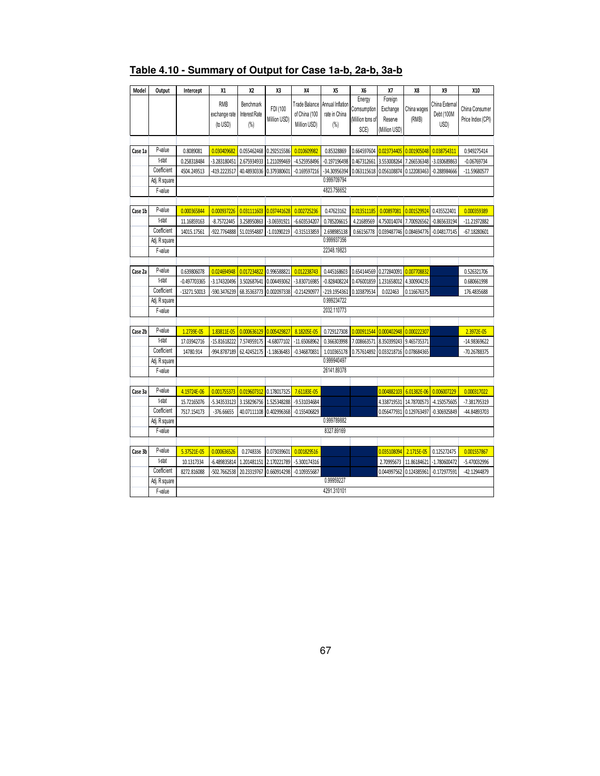| Model   | Output                   | Intercept      | Х1            | X2                      | X3            | X4             | X5                         | Х6               | X7            | X8          | X9             | X10               |
|---------|--------------------------|----------------|---------------|-------------------------|---------------|----------------|----------------------------|------------------|---------------|-------------|----------------|-------------------|
|         |                          |                | <b>RMB</b>    | Benchmark               |               | Trade Balance  | Annual Inflation           | Energy           | Foreign       |             | China External |                   |
|         |                          |                | exchange rate | Interest Rate           | FDI (100      | of China (100  | rate in China              | Comsumption      | Exchange      | China wages | Debt (100M     | China Consumer    |
|         |                          |                | (to USD)      | (%)                     | Million USD)  | Million USD)   | (%)                        | (Million tons of | Reserve       | (RMB)       | USD)           | Price Index (CPI) |
|         |                          |                |               |                         |               |                |                            | SCE)             | (Million USD) |             |                |                   |
|         |                          |                |               |                         |               |                |                            |                  |               |             |                |                   |
| Case 1a | P-value                  | 0.8089081      | 0.030409682   | 0.055462468 0.292515586 |               | 0.010609982    | 0.85328869                 | 0.664597604      | 0.023734405   | 0.001905048 | 0.038754311    | 0.949275414       |
|         | t-stat                   | 0.258318484    | 3.283180451   | 2.675934933             | 1.211099469   | -4.525958496   | $-0.197196498$             | 0.467312661      | 3.553008264   | 7.266536348 | -3.030689863   | $-0.06769734$     |
|         | Coefficient              | 4504.249513    | 419.2223517   | 40.48930336             | 0.379380601   | $-0.169597216$ | -34.30956394               | 0.063115618      | 0.056108874   | 0.122083463 | $-0.288984666$ | -11.59680577      |
|         | Adj. R square            |                |               |                         |               |                | 0.999709794                |                  |               |             |                |                   |
|         | F-value                  |                |               |                         |               |                | 4823.756652                |                  |               |             |                |                   |
|         |                          |                |               |                         |               |                |                            |                  |               |             |                |                   |
| Case 1b | P-value                  | 0.000365844    | 0.000937226   | 0.031111603             | 0.037441628   | 0.002725236    | 0.47623162                 | 0.013511185      | 0.00897081    | 0.001529924 | 0.435522401    | 0.000359389       |
|         | t-stat                   | 11.16859163    | $-8.75722445$ | 3.258950863             | $-3.06591921$ | $-6.603534207$ | 0.785206615                | 4.21689569       | 4.750014074   | 7.700926562 | $-0.865633194$ | -11.21972882      |
|         | Coefficient              | 14015.17561    | -922.7764888  | 51.01954887             | $-1.01090219$ | $-0.315133859$ | 2.698985138                | 0.66156778       | 0.039487746   | 0.084694776 | $-0.048177145$ | $-67.18280601$    |
|         | Adj. R square            |                |               |                         |               |                | 0.999937356                |                  |               |             |                |                   |
|         | F-value                  |                |               |                         |               |                | 22348.19823                |                  |               |             |                |                   |
|         |                          |                |               |                         |               |                |                            |                  |               |             |                |                   |
| Case 2a | P-value                  | 0.639806078    | 0.024694948   | 0.017234822             | 0.996588821   | 0.012238743    | 0.445168603                | 0.654144569      | 0.272840091   | 0.007708832 |                | 0.526321706       |
|         | t-stat                   | $-0.497703365$ | -3.174320496  | 3.502687641             | 0.004493062   | -3.830716985   | $-0.828408224$             | 0.476001859      | 1.231658012   | 4.300904235 |                | 0.680661998       |
|         | Coefficient              | -13271.50013   | -590.3476239  | 68.35363773             | 0.002097338   | $-0.214290977$ | -219.1954361               | 0.103879534      | 0.022463      | 0.116676375 |                | 176.4835688       |
|         | Adj. R square            |                |               |                         |               |                | 0.999234722                |                  |               |             |                |                   |
|         | F-value                  |                |               |                         |               |                | 2032.110773                |                  |               |             |                |                   |
|         |                          |                |               |                         |               |                |                            |                  |               |             |                |                   |
| Case 2b | P-value<br>t-stat        | 1.2739E-05     | 1.83811E-05   | 0.000636129             | 0.005429827   | 8.18205E-05    | 0.729127308                | 0.000911544      | 0.000402948   | 0.000222307 |                | 2.3972E-05        |
|         | Coefficient              | 17.03942716    | -15.81618222  | 7.574959175             | $-4.68077102$ | -11.65068962   | 0.366303998                | 7.008663571      | 8.350399243   | 9.465735371 |                | -14.98369622      |
|         |                          | 14780.914      | 994.8787189   | 62.42452175             | $-1.18636483$ | $-0.346870831$ | 1.010365178<br>0.999940497 | 0.757614892      | 0.033218716   | 0.078684365 |                | -70.26788375      |
|         | Adj. R square<br>F-value |                |               |                         |               |                | 26141.89378                |                  |               |             |                |                   |
|         |                          |                |               |                         |               |                |                            |                  |               |             |                |                   |
| Case 3a | P-value                  | 4.19724E-06    | 0.001755373   | 0.019607312             | 0.178017325   | 7.61183E-05    |                            |                  | 0.004882103   | 6.01382E-06 | 0.006007229    | 0.000317022       |
|         | t-stat                   | 15.72165076    | -5.343533123  | 3.158296756             | 1.525348288   | -9.531034684   |                            |                  | 4.338719531   | 14.78700573 | -4.150575605   | -7.381795319      |
|         | Coefficient              | 7517.154173    | $-376.66655$  | 40.07111108             | 0.402996368   | $-0.155406829$ |                            |                  | 0.056477931   | 0.129763497 | $-0.306925849$ | -44.84893703      |
|         | Adj. R square            |                |               |                         |               |                | 0.999789882                |                  |               |             |                |                   |
|         | F-value                  |                |               |                         |               |                | 8327.89169                 |                  |               |             |                |                   |
|         |                          |                |               |                         |               |                |                            |                  |               |             |                |                   |
| Case 3b | P-value                  | 5.37521E-05    | 0.000636526   | 0.2748336               | 0.073039601   | 0.001829516    |                            |                  | 0.035108094   | 2.1715E-05  | 0.125272475    | 0.001557867       |
|         | t-stat                   | 10.1317334     | -6.489835814  | 1.201481151             | 2.170221789   | $-5.300174316$ |                            |                  | 2.70995673    | 11.86184621 | $-1.780600472$ | -5.470032996      |
|         | Coefficient              | 8272.816088    | -502.7662538  | 20.23319767             | 0.660914298   | $-0.109355687$ |                            |                  | 0.044997562   | 0.124385961 | -0.172977591   | -42.12944879      |
|         | Adj. R square            |                |               |                         |               |                | 0.99959227                 |                  |               |             |                |                   |
|         | F-value                  |                |               |                         |               |                | 4291.310101                |                  |               |             |                |                   |
|         |                          |                |               |                         |               |                |                            |                  |               |             |                |                   |

# **Table 4.10 - Summary of Output for Case 1a-b, 2a-b, 3a-b**